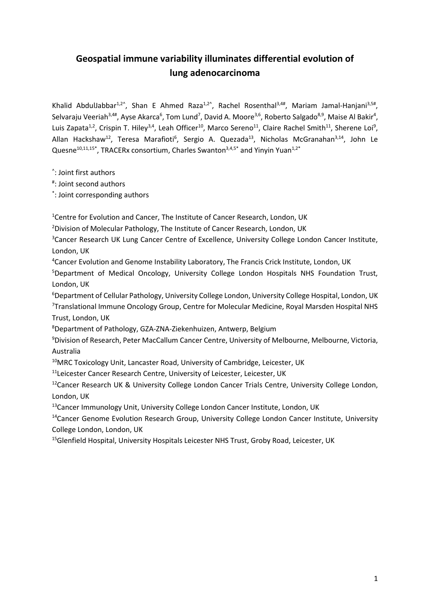# **Geospatial immune variability illuminates differential evolution of lung adenocarcinoma**

Khalid AbdulJabbar<sup>1,2^</sup>, Shan E Ahmed Raza<sup>1,2^</sup>, Rachel Rosenthal<sup>3,4#</sup>, Mariam Jamal-Hanjani<sup>3,5#</sup>, Selvaraju Veeriah<sup>3,4#</sup>, Ayse Akarca<sup>6</sup>, Tom Lund<sup>7</sup>, David A. Moore<sup>3,6</sup>, Roberto Salgado<sup>8,9</sup>, Maise Al Bakir<sup>4</sup>, Luis Zapata<sup>1,2</sup>, Crispin T. Hiley<sup>3,4</sup>, Leah Officer<sup>10</sup>, Marco Sereno<sup>11</sup>, Claire Rachel Smith<sup>11</sup>, Sherene Loi<sup>9</sup>, Allan Hackshaw<sup>12</sup>, Teresa Marafioti<sup>6</sup>, Sergio A. Quezada<sup>13</sup>, Nicholas McGranahan<sup>3,14</sup>, John Le Quesne<sup>10,11,15\*</sup>, TRACERx consortium, Charles Swanton<sup>3,4,5\*</sup> and Yinyin Yuan<sup>1,2\*</sup>

^ : Joint first authors

# : Joint second authors

\* : Joint corresponding authors

<sup>1</sup>Centre for Evolution and Cancer, The Institute of Cancer Research, London, UK

<sup>2</sup>Division of Molecular Pathology, The Institute of Cancer Research, London, UK

<sup>3</sup>Cancer Research UK Lung Cancer Centre of Excellence, University College London Cancer Institute, London, UK

<sup>4</sup>Cancer Evolution and Genome Instability Laboratory, The Francis Crick Institute, London, UK

<sup>5</sup>Department of Medical Oncology, University College London Hospitals NHS Foundation Trust, London, UK

<sup>6</sup>Department of Cellular Pathology, University College London, University College Hospital, London, UK <sup>7</sup>Translational Immune Oncology Group, Centre for Molecular Medicine, Royal Marsden Hospital NHS Trust, London, UK

<sup>8</sup>Department of Pathology, GZA-ZNA-Ziekenhuizen, Antwerp, Belgium

<sup>9</sup>Division of Research, Peter MacCallum Cancer Centre, University of Melbourne, Melbourne, Victoria, Australia

<sup>10</sup>MRC Toxicology Unit, Lancaster Road, University of Cambridge, Leicester, UK

<sup>11</sup>Leicester Cancer Research Centre, University of Leicester, Leicester, UK

<sup>12</sup>Cancer Research UK & University College London Cancer Trials Centre, University College London, London, UK

13Cancer Immunology Unit, University College London Cancer Institute, London, UK

<sup>14</sup>Cancer Genome Evolution Research Group, University College London Cancer Institute, University College London, London, UK

<sup>15</sup>Glenfield Hospital, University Hospitals Leicester NHS Trust, Groby Road, Leicester, UK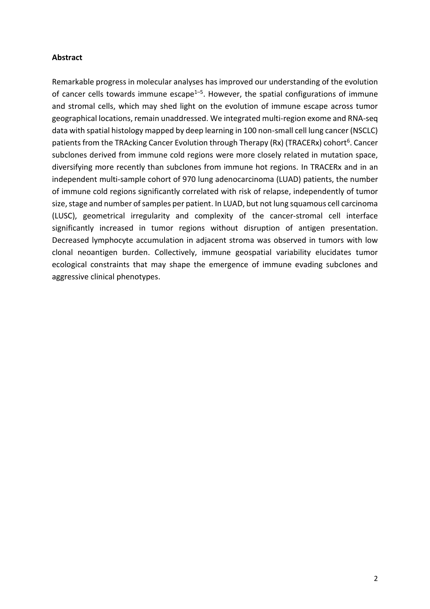### **Abstract**

Remarkable progress in molecular analyses has improved our understanding of the evolution of cancer cells towards immune escape<sup>1-5</sup>. However, the spatial configurations of immune and stromal cells, which may shed light on the evolution of immune escape across tumor geographical locations, remain unaddressed. We integrated multi-region exome and RNA-seq data with spatial histology mapped by deep learning in 100 non-small cell lung cancer (NSCLC) patients from the TRAcking Cancer Evolution through Therapy (Rx) (TRACERx) cohort<sup>6</sup>. Cancer subclones derived from immune cold regions were more closely related in mutation space, diversifying more recently than subclones from immune hot regions. In TRACERx and in an independent multi-sample cohort of 970 lung adenocarcinoma (LUAD) patients, the number of immune cold regions significantly correlated with risk of relapse, independently of tumor size, stage and number of samples per patient. In LUAD, but not lung squamous cell carcinoma (LUSC), geometrical irregularity and complexity of the cancer-stromal cell interface significantly increased in tumor regions without disruption of antigen presentation. Decreased lymphocyte accumulation in adjacent stroma was observed in tumors with low clonal neoantigen burden. Collectively, immune geospatial variability elucidates tumor ecological constraints that may shape the emergence of immune evading subclones and aggressive clinical phenotypes.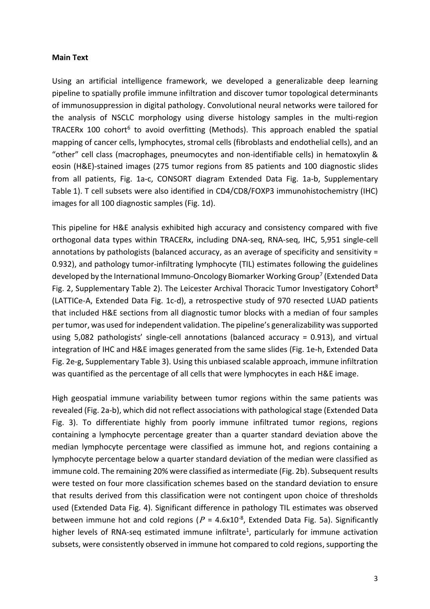#### **Main Text**

Using an artificial intelligence framework, we developed a generalizable deep learning pipeline to spatially profile immune infiltration and discover tumor topological determinants of immunosuppression in digital pathology. Convolutional neural networks were tailored for the analysis of NSCLC morphology using diverse histology samples in the multi-region TRACERx 100 cohort<sup>6</sup> to avoid overfitting (Methods). This approach enabled the spatial mapping of cancer cells, lymphocytes, stromal cells (fibroblasts and endothelial cells), and an "other" cell class (macrophages, pneumocytes and non-identifiable cells) in hematoxylin & eosin (H&E)-stained images (275 tumor regions from 85 patients and 100 diagnostic slides from all patients, Fig. 1a-c, CONSORT diagram Extended Data Fig. 1a-b, Supplementary Table 1). T cell subsets were also identified in CD4/CD8/FOXP3 immunohistochemistry (IHC) images for all 100 diagnostic samples (Fig. 1d).

This pipeline for H&E analysis exhibited high accuracy and consistency compared with five orthogonal data types within TRACERx, including DNA-seq, RNA-seq, IHC, 5,951 single-cell annotations by pathologists (balanced accuracy, as an average of specificity and sensitivity = 0.932), and pathology tumor-infiltrating lymphocyte (TIL) estimates following the guidelines developed by the International Immuno-Oncology Biomarker Working Group<sup>7</sup> (Extended Data Fig. 2, Supplementary Table 2). The Leicester Archival Thoracic Tumor Investigatory Cohort<sup>8</sup> (LATTICe-A, Extended Data Fig. 1c-d), a retrospective study of 970 resected LUAD patients that included H&E sections from all diagnostic tumor blocks with a median of four samples per tumor, was used for independent validation. The pipeline's generalizability wassupported using 5,082 pathologists' single-cell annotations (balanced accuracy = 0.913), and virtual integration of IHC and H&E images generated from the same slides (Fig. 1e-h, Extended Data Fig. 2e-g, Supplementary Table 3). Using this unbiased scalable approach, immune infiltration was quantified as the percentage of all cells that were lymphocytes in each H&E image.

High geospatial immune variability between tumor regions within the same patients was revealed (Fig. 2a-b), which did not reflect associations with pathological stage (Extended Data Fig. 3). To differentiate highly from poorly immune infiltrated tumor regions, regions containing a lymphocyte percentage greater than a quarter standard deviation above the median lymphocyte percentage were classified as immune hot, and regions containing a lymphocyte percentage below a quarter standard deviation of the median were classified as immune cold. The remaining 20% were classified as intermediate (Fig. 2b). Subsequent results were tested on four more classification schemes based on the standard deviation to ensure that results derived from this classification were not contingent upon choice of thresholds used (Extended Data Fig. 4). Significant difference in pathology TIL estimates was observed between immune hot and cold regions ( $P = 4.6 \times 10^{-8}$ , Extended Data Fig. 5a). Significantly higher levels of RNA-seq estimated immune infiltrate<sup>1</sup>, particularly for immune activation subsets, were consistently observed in immune hot compared to cold regions, supporting the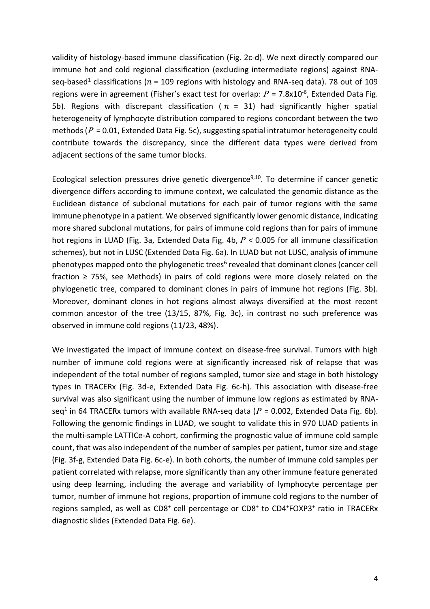validity of histology-based immune classification (Fig. 2c-d). We next directly compared our immune hot and cold regional classification (excluding intermediate regions) against RNAseq-based<sup>1</sup> classifications ( $n = 109$  regions with histology and RNA-seq data). 78 out of 109 regions were in agreement (Fisher's exact test for overlap:  $P = 7.8 \times 10^{-6}$ , Extended Data Fig. 5b). Regions with discrepant classification ( $n = 31$ ) had significantly higher spatial heterogeneity of lymphocyte distribution compared to regions concordant between the two methods ( $P = 0.01$ , Extended Data Fig. 5c), suggesting spatial intratumor heterogeneity could contribute towards the discrepancy, since the different data types were derived from adjacent sections of the same tumor blocks.

Ecological selection pressures drive genetic divergence<sup>9,10</sup>. To determine if cancer genetic divergence differs according to immune context, we calculated the genomic distance as the Euclidean distance of subclonal mutations for each pair of tumor regions with the same immune phenotype in a patient. We observed significantly lower genomic distance, indicating more shared subclonal mutations, for pairs of immune cold regions than for pairs of immune hot regions in LUAD (Fig. 3a, Extended Data Fig. 4b,  $P < 0.005$  for all immune classification schemes), but not in LUSC (Extended Data Fig. 6a). In LUAD but not LUSC, analysis of immune phenotypes mapped onto the phylogenetic trees<sup>6</sup> revealed that dominant clones (cancer cell fraction ≥ 75%, see Methods) in pairs of cold regions were more closely related on the phylogenetic tree, compared to dominant clones in pairs of immune hot regions (Fig. 3b). Moreover, dominant clones in hot regions almost always diversified at the most recent common ancestor of the tree (13/15, 87%, Fig. 3c), in contrast no such preference was observed in immune cold regions (11/23, 48%).

We investigated the impact of immune context on disease-free survival. Tumors with high number of immune cold regions were at significantly increased risk of relapse that was independent of the total number of regions sampled, tumor size and stage in both histology types in TRACERx (Fig. 3d-e, Extended Data Fig. 6c-h). This association with disease-free survival was also significant using the number of immune low regions as estimated by RNAseq<sup>1</sup> in 64 TRACERx tumors with available RNA-seq data ( $P$  = 0.002, Extended Data Fig. 6b). Following the genomic findings in LUAD, we sought to validate this in 970 LUAD patients in the multi-sample LATTICe-A cohort, confirming the prognostic value of immune cold sample count, that was also independent of the number of samples per patient, tumor size and stage (Fig. 3f-g, Extended Data Fig. 6c-e). In both cohorts, the number of immune cold samples per patient correlated with relapse, more significantly than any other immune feature generated using deep learning, including the average and variability of lymphocyte percentage per tumor, number of immune hot regions, proportion of immune cold regions to the number of regions sampled, as well as CD8<sup>+</sup> cell percentage or CD8<sup>+</sup> to CD4<sup>+</sup>FOXP3<sup>+</sup> ratio in TRACERx diagnostic slides (Extended Data Fig. 6e).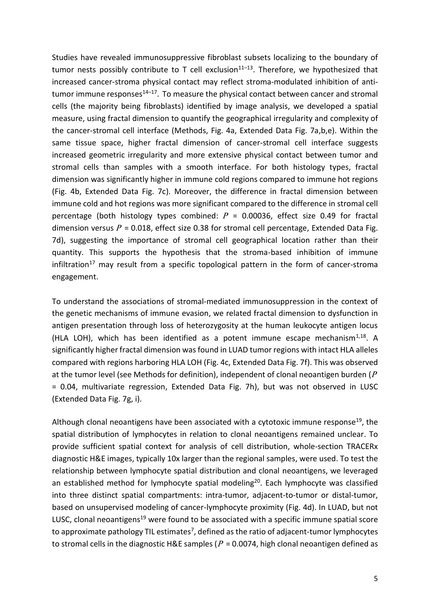Studies have revealed immunosuppressive fibroblast subsets localizing to the boundary of tumor nests possibly contribute to T cell exclusion $11-13$ . Therefore, we hypothesized that increased cancer-stroma physical contact may reflect stroma-modulated inhibition of antitumor immune responses<sup>14–17</sup>. To measure the physical contact between cancer and stromal cells (the majority being fibroblasts) identified by image analysis, we developed a spatial measure, using fractal dimension to quantify the geographical irregularity and complexity of the cancer-stromal cell interface (Methods, Fig. 4a, Extended Data Fig. 7a,b,e). Within the same tissue space, higher fractal dimension of cancer-stromal cell interface suggests increased geometric irregularity and more extensive physical contact between tumor and stromal cells than samples with a smooth interface. For both histology types, fractal dimension was significantly higher in immune cold regions compared to immune hot regions (Fig. 4b, Extended Data Fig. 7c). Moreover, the difference in fractal dimension between immune cold and hot regions was more significant compared to the difference in stromal cell percentage (both histology types combined:  $P = 0.00036$ , effect size 0.49 for fractal dimension versus  $P = 0.018$ , effect size 0.38 for stromal cell percentage, Extended Data Fig. 7d), suggesting the importance of stromal cell geographical location rather than their quantity. This supports the hypothesis that the stroma-based inhibition of immune infiltration<sup>17</sup> may result from a specific topological pattern in the form of cancer-stroma engagement.

To understand the associations of stromal-mediated immunosuppression in the context of the genetic mechanisms of immune evasion, we related fractal dimension to dysfunction in antigen presentation through loss of heterozygosity at the human leukocyte antigen locus (HLA LOH), which has been identified as a potent immune escape mechanism $^{1,18}$ . A significantly higher fractal dimension was found in LUAD tumor regions with intact HLA alleles compared with regions harboring HLA LOH (Fig. 4c, Extended Data Fig. 7f). This was observed at the tumor level (see Methods for definition), independent of clonal neoantigen burden ( $P$ = 0.04, multivariate regression, Extended Data Fig. 7h), but was not observed in LUSC (Extended Data Fig. 7g, i).

Although clonal neoantigens have been associated with a cytotoxic immune response<sup>19</sup>, the spatial distribution of lymphocytes in relation to clonal neoantigens remained unclear. To provide sufficient spatial context for analysis of cell distribution, whole-section TRACERx diagnostic H&E images, typically 10x larger than the regional samples, were used. To test the relationship between lymphocyte spatial distribution and clonal neoantigens, we leveraged an established method for lymphocyte spatial modeling<sup>20</sup>. Each lymphocyte was classified into three distinct spatial compartments: intra-tumor, adjacent-to-tumor or distal-tumor, based on unsupervised modeling of cancer-lymphocyte proximity (Fig. 4d). In LUAD, but not LUSC, clonal neoantigens<sup>19</sup> were found to be associated with a specific immune spatial score to approximate pathology TIL estimates<sup>7</sup>, defined as the ratio of adjacent-tumor lymphocytes to stromal cells in the diagnostic H&E samples ( $P = 0.0074$ , high clonal neoantigen defined as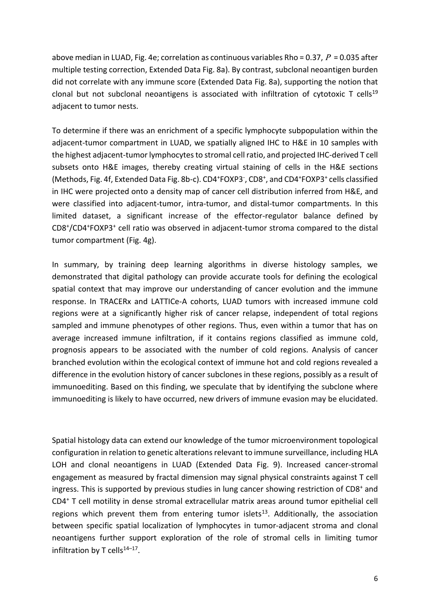above median in LUAD, Fig. 4e; correlation as continuous variables Rho = 0.37,  $P = 0.035$  after multiple testing correction, Extended Data Fig. 8a). By contrast, subclonal neoantigen burden did not correlate with any immune score (Extended Data Fig. 8a), supporting the notion that clonal but not subclonal neoantigens is associated with infiltration of cytotoxic T cells<sup>19</sup> adjacent to tumor nests.

To determine if there was an enrichment of a specific lymphocyte subpopulation within the adjacent-tumor compartment in LUAD, we spatially aligned IHC to H&E in 10 samples with the highest adjacent-tumor lymphocytes to stromal cell ratio, and projected IHC-derived T cell subsets onto H&E images, thereby creating virtual staining of cells in the H&E sections (Methods, Fig. 4f, Extended Data Fig. 8b-c). CD4<sup>+</sup>FOXP3<sup>-</sup>, CD8<sup>+</sup>, and CD4<sup>+</sup>FOXP3<sup>+</sup> cells classified in IHC were projected onto a density map of cancer cell distribution inferred from H&E, and were classified into adjacent-tumor, intra-tumor, and distal-tumor compartments. In this limited dataset, a significant increase of the effector-regulator balance defined by CD8+/CD4+FOXP3+ cell ratio was observed in adjacent-tumor stroma compared to the distal tumor compartment (Fig. 4g).

In summary, by training deep learning algorithms in diverse histology samples, we demonstrated that digital pathology can provide accurate tools for defining the ecological spatial context that may improve our understanding of cancer evolution and the immune response. In TRACERx and LATTICe-A cohorts, LUAD tumors with increased immune cold regions were at a significantly higher risk of cancer relapse, independent of total regions sampled and immune phenotypes of other regions. Thus, even within a tumor that has on average increased immune infiltration, if it contains regions classified as immune cold, prognosis appears to be associated with the number of cold regions. Analysis of cancer branched evolution within the ecological context of immune hot and cold regions revealed a difference in the evolution history of cancer subclones in these regions, possibly as a result of immunoediting. Based on this finding, we speculate that by identifying the subclone where immunoediting is likely to have occurred, new drivers of immune evasion may be elucidated.

Spatial histology data can extend our knowledge of the tumor microenvironment topological configuration in relation to genetic alterations relevant to immune surveillance, including HLA LOH and clonal neoantigens in LUAD (Extended Data Fig. 9). Increased cancer-stromal engagement as measured by fractal dimension may signal physical constraints against T cell ingress. This is supported by previous studies in lung cancer showing restriction of CD8<sup>+</sup> and CD4<sup>+</sup> T cell motility in dense stromal extracellular matrix areas around tumor epithelial cell regions which prevent them from entering tumor islets<sup>13</sup>. Additionally, the association between specific spatial localization of lymphocytes in tumor-adjacent stroma and clonal neoantigens further support exploration of the role of stromal cells in limiting tumor infiltration by T cells $14-17$ .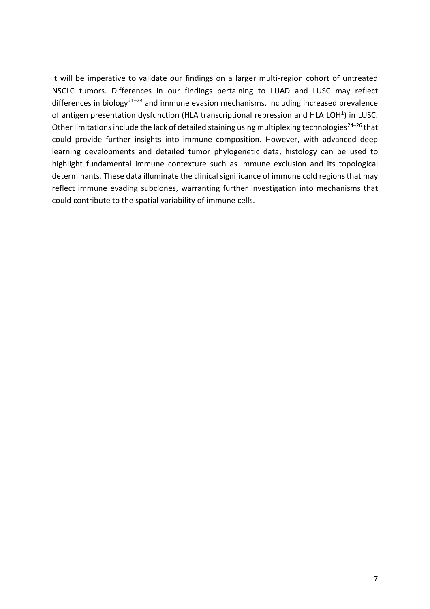It will be imperative to validate our findings on a larger multi-region cohort of untreated NSCLC tumors. Differences in our findings pertaining to LUAD and LUSC may reflect differences in biology<sup>21-23</sup> and immune evasion mechanisms, including increased prevalence of antigen presentation dysfunction (HLA transcriptional repression and HLA LOH<sup>1</sup>) in LUSC. Other limitations include the lack of detailed staining using multiplexing technologies<sup>24-26</sup> that could provide further insights into immune composition. However, with advanced deep learning developments and detailed tumor phylogenetic data, histology can be used to highlight fundamental immune contexture such as immune exclusion and its topological determinants. These data illuminate the clinical significance of immune cold regions that may reflect immune evading subclones, warranting further investigation into mechanisms that could contribute to the spatial variability of immune cells.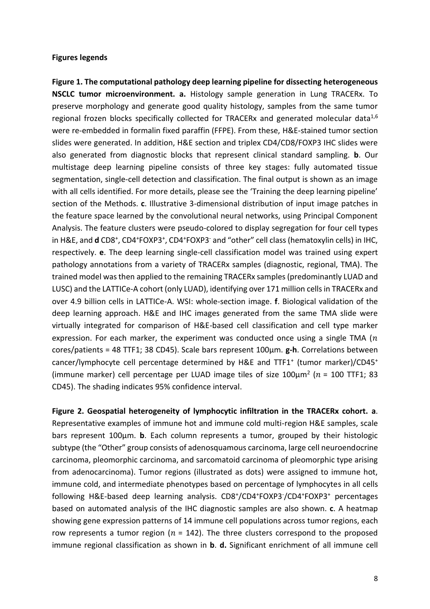#### **Figures legends**

**Figure 1. The computational pathology deep learning pipeline for dissecting heterogeneous NSCLC tumor microenvironment. a.** Histology sample generation in Lung TRACERx. To preserve morphology and generate good quality histology, samples from the same tumor regional frozen blocks specifically collected for TRACERx and generated molecular data $^{1,6}$ were re-embedded in formalin fixed paraffin (FFPE). From these, H&E-stained tumor section slides were generated. In addition, H&E section and triplex CD4/CD8/FOXP3 IHC slides were also generated from diagnostic blocks that represent clinical standard sampling. **b**. Our multistage deep learning pipeline consists of three key stages: fully automated tissue segmentation, single-cell detection and classification. The final output is shown as an image with all cells identified. For more details, please see the 'Training the deep learning pipeline' section of the Methods. **c**. Illustrative 3-dimensional distribution of input image patches in the feature space learned by the convolutional neural networks, using Principal Component Analysis. The feature clusters were pseudo-colored to display segregation for four cell types in H&E, and d CD8<sup>+</sup>, CD4<sup>+</sup>FOXP3<sup>+</sup>, CD4<sup>+</sup>FOXP3<sup>-</sup> and "other" cell class (hematoxylin cells) in IHC, respectively. **e**. The deep learning single-cell classification model was trained using expert pathology annotations from a variety of TRACERx samples (diagnostic, regional, TMA). The trained model was then applied to the remaining TRACERx samples(predominantly LUAD and LUSC) and the LATTICe-A cohort (only LUAD), identifying over 171 million cells in TRACERx and over 4.9 billion cells in LATTICe-A. WSI: whole-section image. **f**. Biological validation of the deep learning approach. H&E and IHC images generated from the same TMA slide were virtually integrated for comparison of H&E-based cell classification and cell type marker expression. For each marker, the experiment was conducted once using a single TMA ( $n$ ) cores/patients = 48 TTF1; 38 CD45). Scale bars represent 100µm. **g-h**. Correlations between cancer/lymphocyte cell percentage determined by H&E and TTF1<sup>+</sup> (tumor marker)/CD45<sup>+</sup> (immune marker) cell percentage per LUAD image tiles of size  $100 \mu m^2$  ( $n = 100$  TTF1; 83 CD45). The shading indicates 95% confidence interval.

**Figure 2. Geospatial heterogeneity of lymphocytic infiltration in the TRACERx cohort. a**. Representative examples of immune hot and immune cold multi-region H&E samples, scale bars represent 100µm. **b**. Each column represents a tumor, grouped by their histologic subtype (the "Other" group consists of adenosquamous carcinoma, large cell neuroendocrine carcinoma, pleomorphic carcinoma, and sarcomatoid carcinoma of pleomorphic type arising from adenocarcinoma). Tumor regions (illustrated as dots) were assigned to immune hot, immune cold, and intermediate phenotypes based on percentage of lymphocytes in all cells following H&E-based deep learning analysis. CD8+/CD4+FOXP3-/CD4+FOXP3+ percentages based on automated analysis of the IHC diagnostic samples are also shown. **c**. A heatmap showing gene expression patterns of 14 immune cell populations across tumor regions, each row represents a tumor region ( $n = 142$ ). The three clusters correspond to the proposed immune regional classification as shown in **b**. **d.** Significant enrichment of all immune cell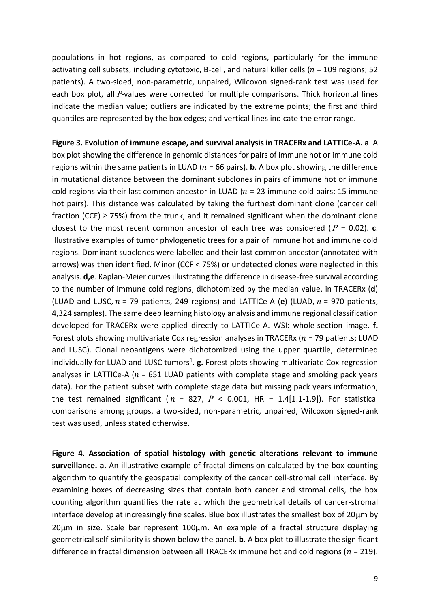populations in hot regions, as compared to cold regions, particularly for the immune activating cell subsets, including cytotoxic, B-cell, and natural killer cells ( $n = 109$  regions; 52 patients). A two-sided, non-parametric, unpaired, Wilcoxon signed-rank test was used for each box plot, all  $P$ -values were corrected for multiple comparisons. Thick horizontal lines indicate the median value; outliers are indicated by the extreme points; the first and third quantiles are represented by the box edges; and vertical lines indicate the error range.

**Figure 3. Evolution of immune escape, and survival analysis in TRACERx and LATTICe-A. a**. A box plot showing the difference in genomic distances for pairs of immune hot or immune cold regions within the same patients in LUAD ( $n = 66$  pairs). **b**. A box plot showing the difference in mutational distance between the dominant subclones in pairs of immune hot or immune cold regions via their last common ancestor in LUAD ( $n = 23$  immune cold pairs; 15 immune hot pairs). This distance was calculated by taking the furthest dominant clone (cancer cell fraction (CCF)  $\geq$  75%) from the trunk, and it remained significant when the dominant clone closest to the most recent common ancestor of each tree was considered ( $P = 0.02$ ). **c**. Illustrative examples of tumor phylogenetic trees for a pair of immune hot and immune cold regions. Dominant subclones were labelled and their last common ancestor (annotated with arrows) was then identified. Minor (CCF < 75%) or undetected clones were neglected in this analysis. **d,e**. Kaplan-Meier curves illustrating the difference in disease-free survival according to the number of immune cold regions, dichotomized by the median value, in TRACERx (**d**) (LUAD and LUSC,  $n = 79$  patients, 249 regions) and LATTICe-A (e) (LUAD,  $n = 970$  patients, 4,324 samples). The same deep learning histology analysis and immune regional classification developed for TRACERx were applied directly to LATTICe-A. WSI: whole-section image. **f.**  Forest plots showing multivariate Cox regression analyses in TRACERx ( $n = 79$  patients; LUAD and LUSC). Clonal neoantigens were dichotomized using the upper quartile, determined individually for LUAD and LUSC tumors<sup>1</sup>. **g.** Forest plots showing multivariate Cox regression analyses in LATTICe-A ( $n = 651$  LUAD patients with complete stage and smoking pack years data). For the patient subset with complete stage data but missing pack years information, the test remained significant ( $n = 827$ ,  $P < 0.001$ , HR = 1.4[1.1-1.9]). For statistical comparisons among groups, a two-sided, non-parametric, unpaired, Wilcoxon signed-rank test was used, unless stated otherwise.

**Figure 4. Association of spatial histology with genetic alterations relevant to immune surveillance. a.** An illustrative example of fractal dimension calculated by the box-counting algorithm to quantify the geospatial complexity of the cancer cell-stromal cell interface. By examining boxes of decreasing sizes that contain both cancer and stromal cells, the box counting algorithm quantifies the rate at which the geometrical details of cancer-stromal interface develop at increasingly fine scales. Blue box illustrates the smallest box of 20um by 20m in size. Scale bar represent 100µm. An example of a fractal structure displaying geometrical self-similarity is shown below the panel. **b**. A box plot to illustrate the significant difference in fractal dimension between all TRACERx immune hot and cold regions ( $n = 219$ ).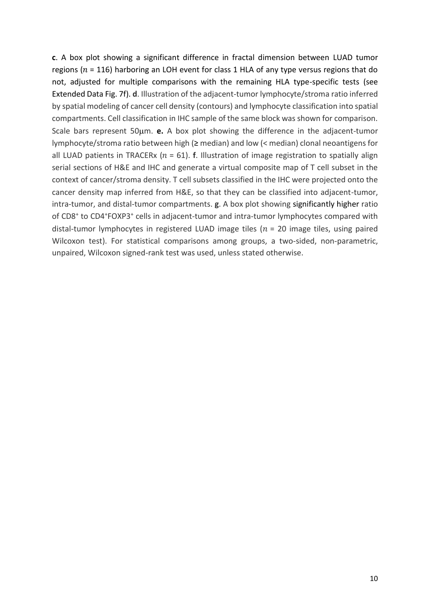**c**. A box plot showing a significant difference in fractal dimension between LUAD tumor regions ( $n = 116$ ) harboring an LOH event for class 1 HLA of any type versus regions that do not, adjusted for multiple comparisons with the remaining HLA type-specific tests (see Extended Data Fig. 7f). **d**. Illustration of the adjacent-tumor lymphocyte/stroma ratio inferred by spatial modeling of cancer cell density (contours) and lymphocyte classification into spatial compartments. Cell classification in IHC sample of the same block was shown for comparison. Scale bars represent 50um. **e.** A box plot showing the difference in the adjacent-tumor lymphocyte/stroma ratio between high (≥ median) and low (< median) clonal neoantigens for all LUAD patients in TRACERx ( $n = 61$ ). **f**. Illustration of image registration to spatially align serial sections of H&E and IHC and generate a virtual composite map of T cell subset in the context of cancer/stroma density. T cell subsets classified in the IHC were projected onto the cancer density map inferred from H&E, so that they can be classified into adjacent-tumor, intra-tumor, and distal-tumor compartments. **g**. A box plot showing significantly higher ratio of CD8<sup>+</sup> to CD4<sup>+</sup>FOXP3<sup>+</sup> cells in adjacent-tumor and intra-tumor lymphocytes compared with distal-tumor lymphocytes in registered LUAD image tiles ( $n = 20$  image tiles, using paired Wilcoxon test). For statistical comparisons among groups, a two-sided, non-parametric, unpaired, Wilcoxon signed-rank test was used, unless stated otherwise.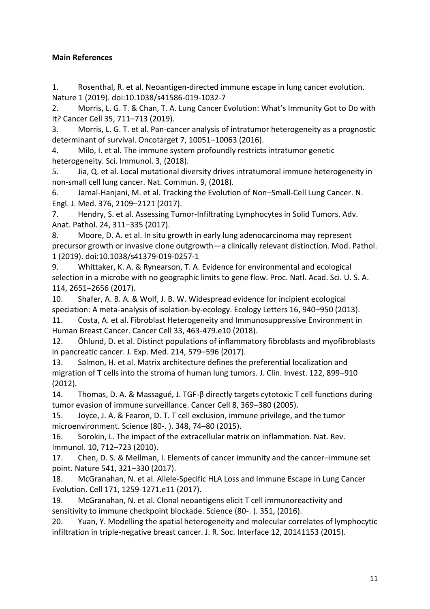### **Main References**

1. Rosenthal, R. et al. Neoantigen-directed immune escape in lung cancer evolution. Nature 1 (2019). doi:10.1038/s41586-019-1032-7

2. Morris, L. G. T. & Chan, T. A. Lung Cancer Evolution: What's Immunity Got to Do with It? Cancer Cell 35, 711–713 (2019).

3. Morris, L. G. T. et al. Pan-cancer analysis of intratumor heterogeneity as a prognostic determinant of survival. Oncotarget 7, 10051–10063 (2016).

4. Milo, I. et al. The immune system profoundly restricts intratumor genetic heterogeneity. Sci. Immunol. 3, (2018).

5. Jia, Q. et al. Local mutational diversity drives intratumoral immune heterogeneity in non-small cell lung cancer. Nat. Commun. 9, (2018).

6. Jamal-Hanjani, M. et al. Tracking the Evolution of Non–Small-Cell Lung Cancer. N. Engl. J. Med. 376, 2109–2121 (2017).

7. Hendry, S. et al. Assessing Tumor-Infiltrating Lymphocytes in Solid Tumors. Adv. Anat. Pathol. 24, 311–335 (2017).

8. Moore, D. A. et al. In situ growth in early lung adenocarcinoma may represent precursor growth or invasive clone outgrowth—a clinically relevant distinction. Mod. Pathol. 1 (2019). doi:10.1038/s41379-019-0257-1

9. Whittaker, K. A. & Rynearson, T. A. Evidence for environmental and ecological selection in a microbe with no geographic limits to gene flow. Proc. Natl. Acad. Sci. U. S. A. 114, 2651–2656 (2017).

10. Shafer, A. B. A. & Wolf, J. B. W. Widespread evidence for incipient ecological speciation: A meta-analysis of isolation-by-ecology. Ecology Letters 16, 940–950 (2013).

11. Costa, A. et al. Fibroblast Heterogeneity and Immunosuppressive Environment in Human Breast Cancer. Cancer Cell 33, 463-479.e10 (2018).

12. Öhlund, D. et al. Distinct populations of inflammatory fibroblasts and myofibroblasts in pancreatic cancer. J. Exp. Med. 214, 579–596 (2017).

13. Salmon, H. et al. Matrix architecture defines the preferential localization and migration of T cells into the stroma of human lung tumors. J. Clin. Invest. 122, 899–910 (2012).

14. Thomas, D. A. & Massagué, J. TGF-β directly targets cytotoxic T cell functions during tumor evasion of immune surveillance. Cancer Cell 8, 369–380 (2005).

15. Joyce, J. A. & Fearon, D. T. T cell exclusion, immune privilege, and the tumor microenvironment. Science (80-. ). 348, 74–80 (2015).

16. Sorokin, L. The impact of the extracellular matrix on inflammation. Nat. Rev. Immunol. 10, 712–723 (2010).

17. Chen, D. S. & Mellman, I. Elements of cancer immunity and the cancer–immune set point. Nature 541, 321–330 (2017).

18. McGranahan, N. et al. Allele-Specific HLA Loss and Immune Escape in Lung Cancer Evolution. Cell 171, 1259-1271.e11 (2017).

19. McGranahan, N. et al. Clonal neoantigens elicit T cell immunoreactivity and sensitivity to immune checkpoint blockade. Science (80-. ). 351, (2016).

20. Yuan, Y. Modelling the spatial heterogeneity and molecular correlates of lymphocytic infiltration in triple-negative breast cancer. J. R. Soc. Interface 12, 20141153 (2015).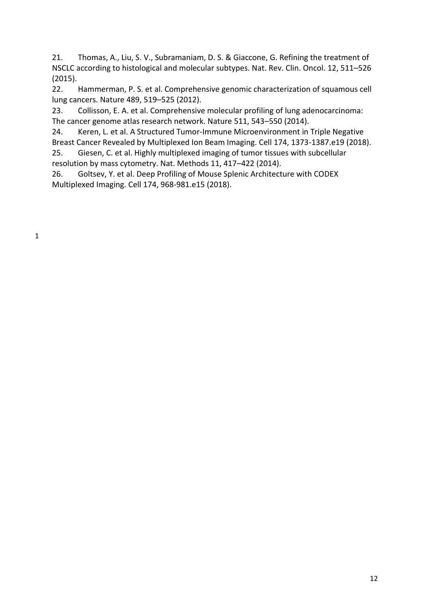21. Thomas, A., Liu, S. V., Subramaniam, D. S. & Giaccone, G. Refining the treatment of NSCLC according to histological and molecular subtypes. Nat. Rev. Clin. Oncol. 12, 511–526 (2015).

22. Hammerman, P. S. et al. Comprehensive genomic characterization of squamous cell lung cancers. Nature 489, 519–525 (2012).

23. Collisson, E. A. et al. Comprehensive molecular profiling of lung adenocarcinoma: The cancer genome atlas research network. Nature 511, 543–550 (2014).

24. Keren, L. et al. A Structured Tumor-Immune Microenvironment in Triple Negative Breast Cancer Revealed by Multiplexed Ion Beam Imaging. Cell 174, 1373-1387.e19 (2018). 25. Giesen, C. et al. Highly multiplexed imaging of tumor tissues with subcellular

resolution by mass cytometry. Nat. Methods 11, 417–422 (2014).

26. Goltsev, Y. et al. Deep Profiling of Mouse Splenic Architecture with CODEX Multiplexed Imaging. Cell 174, 968-981.e15 (2018).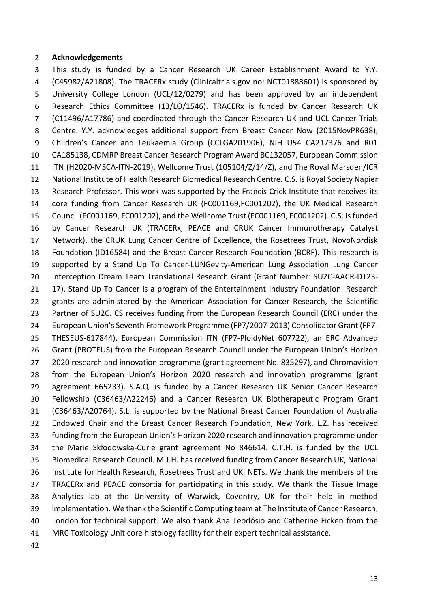#### **Acknowledgements**

 This study is funded by a Cancer Research UK Career Establishment Award to Y.Y. (C45982/A21808). The TRACERx study (Clinicaltrials.gov no: NCT01888601) is sponsored by University College London (UCL/12/0279) and has been approved by an independent Research Ethics Committee (13/LO/1546). TRACERx is funded by Cancer Research UK (C11496/A17786) and coordinated through the Cancer Research UK and UCL Cancer Trials Centre. Y.Y. acknowledges additional support from Breast Cancer Now (2015NovPR638), Children's Cancer and Leukaemia Group (CCLGA201906), NIH U54 CA217376 and R01 CA185138, CDMRP Breast Cancer Research Program Award BC132057, European Commission ITN (H2020-MSCA-ITN-2019), Wellcome Trust (105104/Z/14/Z), and The Royal Marsden/ICR National Institute of Health Research Biomedical Research Centre. C.S. is Royal Society Napier Research Professor. This work was supported by the Francis Crick Institute that receives its core funding from Cancer Research UK (FC001169,FC001202), the UK Medical Research Council (FC001169, FC001202), and the Wellcome Trust (FC001169, FC001202). C.S. is funded by Cancer Research UK (TRACERx, PEACE and CRUK Cancer Immunotherapy Catalyst Network), the CRUK Lung Cancer Centre of Excellence, the Rosetrees Trust, NovoNordisk Foundation (ID16584) and the Breast Cancer Research Foundation (BCRF). This research is 19 supported by a Stand Up To Cancer-LUNGevity-American Lung Association Lung Cancer Interception Dream Team Translational Research Grant (Grant Number: SU2C-AACR-DT23- 17). Stand Up To Cancer is a program of the Entertainment Industry Foundation. Research grants are administered by the American Association for Cancer Research, the Scientific Partner of SU2C. CS receives funding from the European Research Council (ERC) under the European Union's Seventh Framework Programme (FP7/2007-2013) Consolidator Grant (FP7- THESEUS-617844), European Commission ITN (FP7-PloidyNet 607722), an ERC Advanced Grant (PROTEUS) from the European Research Council under the European Union's Horizon 2020 research and innovation programme (grant agreement No. 835297), and Chromavision from the European Union's Horizon 2020 research and innovation programme (grant agreement 665233). S.A.Q. is funded by a Cancer Research UK Senior Cancer Research Fellowship (C36463/A22246) and a Cancer Research UK Biotherapeutic Program Grant (C36463/A20764). S.L. is supported by the National Breast Cancer Foundation of Australia Endowed Chair and the Breast Cancer Research Foundation, New York. L.Z. has received funding from the European Union's Horizon 2020 research and innovation programme under the Marie Skłodowska-Curie grant agreement No 846614. C.T.H. is funded by the UCL Biomedical Research Council. M.J.H. has received funding from Cancer Research UK, National Institute for Health Research, Rosetrees Trust and UKI NETs. We thank the members of the TRACERx and PEACE consortia for participating in this study. We thank the Tissue Image Analytics lab at the University of Warwick, Coventry, UK for their help in method implementation. We thank the Scientific Computing team at The Institute of Cancer Research, London for technical support. We also thank Ana Teodósio and Catherine Ficken from the MRC Toxicology Unit core histology facility for their expert technical assistance.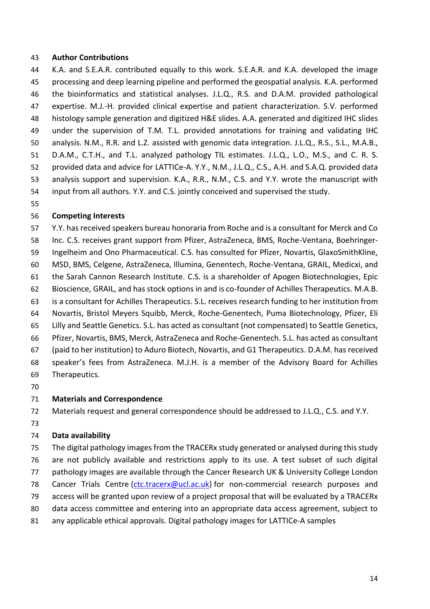#### **Author Contributions**

- K.A. and S.E.A.R. contributed equally to this work. S.E.A.R. and K.A. developed the image processing and deep learning pipeline and performed the geospatial analysis. K.A. performed the bioinformatics and statistical analyses. J.L.Q., R.S. and D.A.M. provided pathological expertise. M.J.-H. provided clinical expertise and patient characterization. S.V. performed histology sample generation and digitized H&E slides. A.A. generated and digitized IHC slides under the supervision of T.M. T.L. provided annotations for training and validating IHC analysis. N.M., R.R. and L.Z. assisted with genomic data integration. J.L.Q., R.S., S.L., M.A.B., D.A.M., C.T.H., and T.L. analyzed pathology TIL estimates. J.L.Q., L.O., M.S., and C. R. S. provided data and advice for LATTICe-A. Y.Y., N.M., J.L.Q., C.S., A.H. and S.A.Q. provided data analysis support and supervision. K.A., R.R., N.M., C.S. and Y.Y. wrote the manuscript with input from all authors. Y.Y. and C.S. jointly conceived and supervised the study.
- 

### **Competing Interests**

 Y.Y. has received speakers bureau honoraria from Roche and is a consultant for Merck and Co Inc. C.S. receives grant support from Pfizer, AstraZeneca, BMS, Roche-Ventana, Boehringer- Ingelheim and Ono Pharmaceutical. C.S. has consulted for Pfizer, Novartis, GlaxoSmithKline, MSD, BMS, Celgene, AstraZeneca, Illumina, Genentech, Roche-Ventana, GRAIL, Medicxi, and the Sarah Cannon Research Institute. C.S. is a shareholder of Apogen Biotechnologies, Epic Bioscience, GRAIL, and has stock options in and is co-founder of Achilles Therapeutics. M.A.B. is a consultant for Achilles Therapeutics. S.L. receives research funding to her institution from Novartis, Bristol Meyers Squibb, Merck, Roche-Genentech, Puma Biotechnology, Pfizer, Eli Lilly and Seattle Genetics. S.L. has acted as consultant (not compensated) to Seattle Genetics, Pfizer, Novartis, BMS, Merck, AstraZeneca and Roche-Genentech. S.L. has acted as consultant (paid to her institution) to Aduro Biotech, Novartis, and G1 Therapeutics. D.A.M. has received speaker's fees from AstraZeneca. M.J.H. is a member of the Advisory Board for Achilles Therapeutics.

### **Materials and Correspondence**

Materials request and general correspondence should be addressed to J.L.Q., C.S. and Y.Y.

# **Data availability**

 The digital pathology images from the TRACERx study generated or analysed during this study are not publicly available and restrictions apply to its use. A test subset of such digital pathology images are available through the Cancer Research UK & University College London 78 Cancer Trials Centre [\(ctc.tracerx@ucl.ac.uk\)](mailto:ctc.tracerx@ucl.ac.uk) for non-commercial research purposes and access will be granted upon review of a project proposal that will be evaluated by a TRACERx data access committee and entering into an appropriate data access agreement, subject to any applicable ethical approvals. Digital pathology images for LATTICe-A samples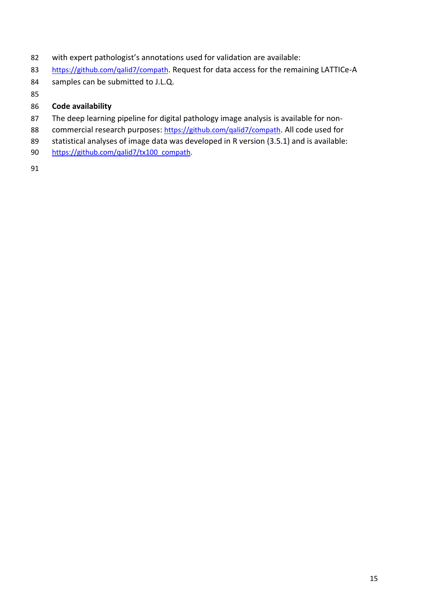- with expert pathologist's annotations used for validation are available:
- <https://github.com/qalid7/compath>. Request for data access for the remaining LATTICe-A
- samples can be submitted to J.L.Q.
- 

## **Code availability**

- The deep learning pipeline for digital pathology image analysis is available for non-
- 88 commercial research purposes: <https://github.com/qalid7/compath>. All code used for
- statistical analyses of image data was developed in R version (3.5.1) and is available:
- [https://github.com/qalid7/tx100\\_compath.](https://github.com/qalid7/tx100_compath)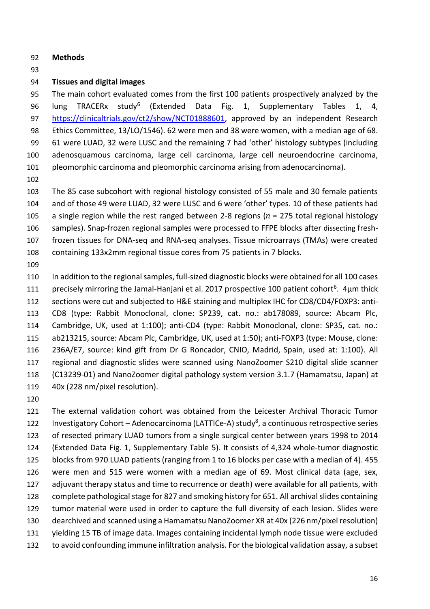- **Methods**
- 

### **Tissues and digital images**

 The main cohort evaluated comes from the first 100 patients prospectively analyzed by the 96 lung TRACERx study<sup>6</sup> (Extended Data Fig. 1, Supplementary Tables 1, 4, [https://clinicaltrials.gov/ct2/show/NCT01888601,](https://clinicaltrials.gov/ct2/show/NCT01888601) approved by an independent Research Ethics Committee, 13/LO/1546). 62 were men and 38 were women, with a median age of 68. 61 were LUAD, 32 were LUSC and the remaining 7 had 'other' histology subtypes (including adenosquamous carcinoma, large cell carcinoma, large cell neuroendocrine carcinoma, pleomorphic carcinoma and pleomorphic carcinoma arising from adenocarcinoma).

 The 85 case subcohort with regional histology consisted of 55 male and 30 female patients and of those 49 were LUAD, 32 were LUSC and 6 were 'other' types. 10 of these patients had 105 a single region while the rest ranged between 2-8 regions ( $n = 275$  total regional histology samples). Snap-frozen regional samples were processed to FFPE blocks after dissecting fresh- frozen tissues for DNA-seq and RNA-seq analyses. Tissue microarrays (TMAs) were created containing 133x2mm regional tissue cores from 75 patients in 7 blocks.

 In addition to the regional samples, full-sized diagnostic blocks were obtained for all 100 cases 111 precisely mirroring the Jamal-Hanjani et al. 2017 prospective 100 patient cohort<sup>6</sup>.  $4\mu$ m thick sections were cut and subjected to H&E staining and multiplex IHC for CD8/CD4/FOXP3: anti- CD8 (type: Rabbit Monoclonal, clone: SP239, cat. no.: ab178089, source: Abcam Plc, Cambridge, UK, used at 1:100); anti-CD4 (type: Rabbit Monoclonal, clone: SP35, cat. no.: ab213215, source: Abcam Plc, Cambridge, UK, used at 1:50); anti-FOXP3 (type: Mouse, clone: 236A/E7, source: kind gift from Dr G Roncador, CNIO, Madrid, Spain, used at: 1:100). All regional and diagnostic slides were scanned using NanoZoomer S210 digital slide scanner (C13239-01) and NanoZoomer digital pathology system version 3.1.7 (Hamamatsu, Japan) at 40x (228 nm/pixel resolution).

 The external validation cohort was obtained from the Leicester Archival Thoracic Tumor 122 Investigatory Cohort – Adenocarcinoma (LATTICe-A) study<sup>8</sup>, a continuous retrospective series of resected primary LUAD tumors from a single surgical center between years 1998 to 2014 (Extended Data Fig. 1, Supplementary Table 5). It consists of 4,324 whole-tumor diagnostic blocks from 970 LUAD patients (ranging from 1 to 16 blocks per case with a median of 4). 455 were men and 515 were women with a median age of 69. Most clinical data (age, sex, adjuvant therapy status and time to recurrence or death) were available for all patients, with complete pathological stage for 827 and smoking history for 651. All archival slides containing tumor material were used in order to capture the full diversity of each lesion. Slides were dearchived and scanned using a Hamamatsu NanoZoomer XR at 40x (226 nm/pixel resolution) yielding 15 TB of image data. Images containing incidental lymph node tissue were excluded to avoid confounding immune infiltration analysis. For the biological validation assay, a subset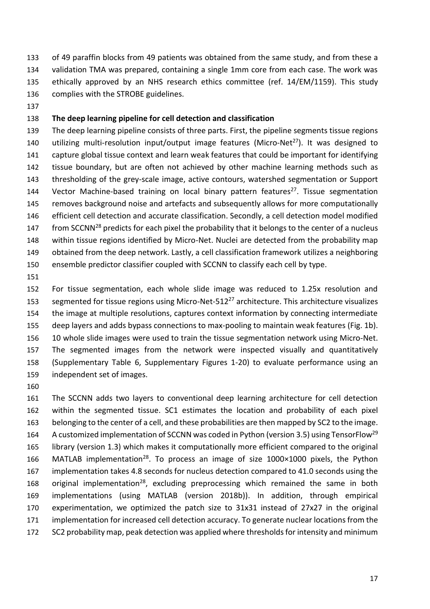of 49 paraffin blocks from 49 patients was obtained from the same study, and from these a validation TMA was prepared, containing a single 1mm core from each case. The work was ethically approved by an NHS research ethics committee (ref. 14/EM/1159). This study complies with the STROBE guidelines.

### **The deep learning pipeline for cell detection and classification**

 The deep learning pipeline consists of three parts. First, the pipeline segments tissue regions 140 utilizing multi-resolution input/output image features (Micro-Net<sup>27</sup>). It was designed to capture global tissue context and learn weak features that could be important for identifying tissue boundary, but are often not achieved by other machine learning methods such as thresholding of the grey-scale image, active contours, watershed segmentation or Support 144 Vector Machine-based training on local binary pattern features<sup>27</sup>. Tissue segmentation removes background noise and artefacts and subsequently allows for more computationally efficient cell detection and accurate classification. Secondly, a cell detection model modified 147 from SCCNN<sup>28</sup> predicts for each pixel the probability that it belongs to the center of a nucleus within tissue regions identified by Micro-Net. Nuclei are detected from the probability map obtained from the deep network. Lastly, a cell classification framework utilizes a neighboring ensemble predictor classifier coupled with SCCNN to classify each cell by type.

 For tissue segmentation, each whole slide image was reduced to 1.25x resolution and 153 segmented for tissue regions using Micro-Net-512<sup>27</sup> architecture. This architecture visualizes the image at multiple resolutions, captures context information by connecting intermediate deep layers and adds bypass connections to max-pooling to maintain weak features (Fig. 1b). 156 10 whole slide images were used to train the tissue segmentation network using Micro-Net. The segmented images from the network were inspected visually and quantitatively (Supplementary Table 6, Supplementary Figures 1-20) to evaluate performance using an independent set of images.

 The SCCNN adds two layers to conventional deep learning architecture for cell detection within the segmented tissue. SC1 estimates the location and probability of each pixel belonging to the center of a cell, and these probabilities are then mapped by SC2 to the image. 164 A customized implementation of SCCNN was coded in Python (version 3.5) using TensorFlow<sup>29</sup> library (version 1.3) which makes it computationally more efficient compared to the original 166 MATLAB implementation<sup>28</sup>. To process an image of size  $1000 \times 1000$  pixels, the Python implementation takes 4.8 seconds for nucleus detection compared to 41.0 seconds using the 168 original implementation<sup>28</sup>, excluding preprocessing which remained the same in both implementations (using MATLAB (version 2018b)). In addition, through empirical experimentation, we optimized the patch size to 31x31 instead of 27x27 in the original 171 implementation for increased cell detection accuracy. To generate nuclear locations from the SC2 probability map, peak detection was applied where thresholds for intensity and minimum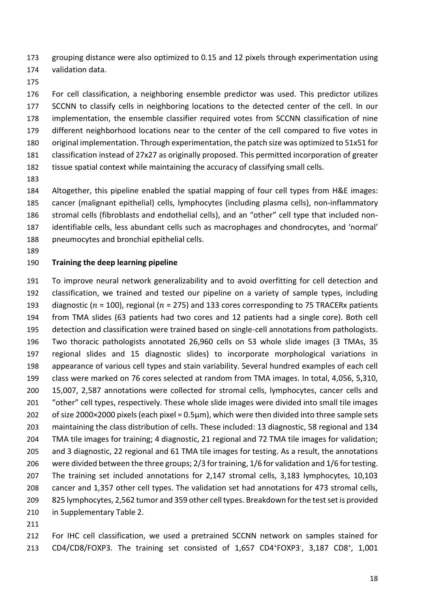grouping distance were also optimized to 0.15 and 12 pixels through experimentation using validation data.

 For cell classification, a neighboring ensemble predictor was used. This predictor utilizes 177 SCCNN to classify cells in neighboring locations to the detected center of the cell. In our implementation, the ensemble classifier required votes from SCCNN classification of nine different neighborhood locations near to the center of the cell compared to five votes in original implementation. Through experimentation, the patch size was optimized to 51x51 for classification instead of 27x27 as originally proposed. This permitted incorporation of greater tissue spatial context while maintaining the accuracy of classifying small cells.

 Altogether, this pipeline enabled the spatial mapping of four cell types from H&E images: cancer (malignant epithelial) cells, lymphocytes (including plasma cells), non-inflammatory stromal cells (fibroblasts and endothelial cells), and an "other" cell type that included non- identifiable cells, less abundant cells such as macrophages and chondrocytes, and 'normal' pneumocytes and bronchial epithelial cells.

### **Training the deep learning pipeline**

 To improve neural network generalizability and to avoid overfitting for cell detection and classification, we trained and tested our pipeline on a variety of sample types, including 193 diagnostic ( $n = 100$ ), regional ( $n = 275$ ) and 133 cores corresponding to 75 TRACERx patients from TMA slides (63 patients had two cores and 12 patients had a single core). Both cell detection and classification were trained based on single-cell annotations from pathologists. Two thoracic pathologists annotated 26,960 cells on 53 whole slide images (3 TMAs, 35 regional slides and 15 diagnostic slides) to incorporate morphological variations in appearance of various cell types and stain variability. Several hundred examples of each cell class were marked on 76 cores selected at random from TMA images. In total, 4,056, 5,310, 15,007, 2,587 annotations were collected for stromal cells, lymphocytes, cancer cells and "other" cell types, respectively. These whole slide images were divided into small tile images of size 2000×2000 pixels (each pixel = 0.5µm), which were then divided into three sample sets maintaining the class distribution of cells. These included: 13 diagnostic, 58 regional and 134 TMA tile images for training; 4 diagnostic, 21 regional and 72 TMA tile images for validation; and 3 diagnostic, 22 regional and 61 TMA tile images for testing. As a result, the annotations 206 were divided between the three groups; 2/3 for training, 1/6 for validation and 1/6 for testing. The training set included annotations for 2,147 stromal cells, 3,183 lymphocytes, 10,103 cancer and 1,357 other cell types. The validation set had annotations for 473 stromal cells, 825 lymphocytes, 2,562 tumor and 359 other cell types. Breakdown for the test set is provided in Supplementary Table 2.

 For IHC cell classification, we used a pretrained SCCNN network on samples stained for 213 CD4/CD8/FOXP3. The training set consisted of 1,657 CD4+FOXP3-, 3,187 CD8+, 1,001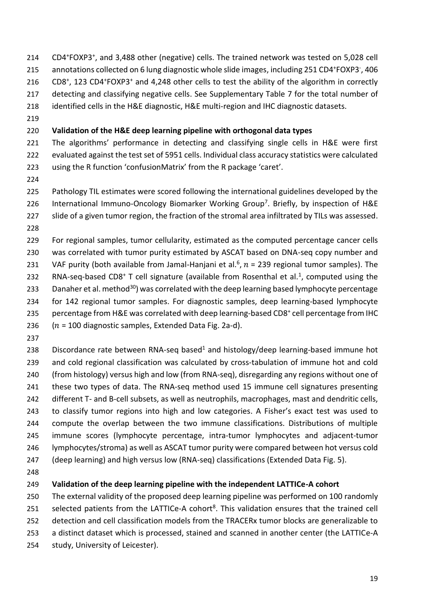- 214 CD4<sup>+</sup>FOXP3<sup>+</sup>, and 3,488 other (negative) cells. The trained network was tested on 5,028 cell 215 annotations collected on 6 lung diagnostic whole slide images, including 251 CD4+FOXP3-, 406 216 CD8<sup>+</sup>, 123 CD4<sup>+</sup>FOXP3<sup>+</sup> and 4,248 other cells to test the ability of the algorithm in correctly 217 detecting and classifying negative cells. See Supplementary Table 7 for the total number of
- identified cells in the H&E diagnostic, H&E multi-region and IHC diagnostic datasets.
- 

### **Validation of the H&E deep learning pipeline with orthogonal data types**

 The algorithms' performance in detecting and classifying single cells in H&E were first evaluated against the test set of 5951 cells. Individual class accuracy statistics were calculated using the R function 'confusionMatrix' from the R package 'caret'.

 Pathology TIL estimates were scored following the international guidelines developed by the 226 International Immuno-Oncology Biomarker Working Group<sup>7</sup>. Briefly, by inspection of H&E

 slide of a given tumor region, the fraction of the stromal area infiltrated by TILs was assessed. 

 For regional samples, tumor cellularity, estimated as the computed percentage cancer cells was correlated with tumor purity estimated by ASCAT based on DNA-seq copy number and 231 VAF purity (both available from Jamal-Hanjani et al.<sup>6</sup>,  $n = 239$  regional tumor samples). The 232 RNA-seq-based CD8<sup>+</sup> T cell signature (available from Rosenthal et al.<sup>1</sup>, computed using the 233 Danaher et al. method<sup>30</sup>) was correlated with the deep learning based lymphocyte percentage for 142 regional tumor samples. For diagnostic samples, deep learning-based lymphocyte 235 percentage from H&E was correlated with deep learning-based CD8<sup>+</sup> cell percentage from IHC 236  $(n = 100$  diagnostic samples, Extended Data Fig. 2a-d).

238 Discordance rate between RNA-seq based<sup>1</sup> and histology/deep learning-based immune hot and cold regional classification was calculated by cross-tabulation of immune hot and cold (from histology) versus high and low (from RNA-seq), disregarding any regions without one of these two types of data. The RNA-seq method used 15 immune cell signatures presenting 242 different T- and B-cell subsets, as well as neutrophils, macrophages, mast and dendritic cells, to classify tumor regions into high and low categories. A Fisher's exact test was used to compute the overlap between the two immune classifications. Distributions of multiple immune scores (lymphocyte percentage, intra-tumor lymphocytes and adjacent-tumor lymphocytes/stroma) as well as ASCAT tumor purity were compared between hot versus cold (deep learning) and high versus low (RNA-seq) classifications (Extended Data Fig. 5).

# **Validation of the deep learning pipeline with the independent LATTICe-A cohort**

 The external validity of the proposed deep learning pipeline was performed on 100 randomly 251 selected patients from the LATTICe-A cohort<sup>8</sup>. This validation ensures that the trained cell 252 detection and cell classification models from the TRACERx tumor blocks are generalizable to a distinct dataset which is processed, stained and scanned in another center (the LATTICe-A study, University of Leicester).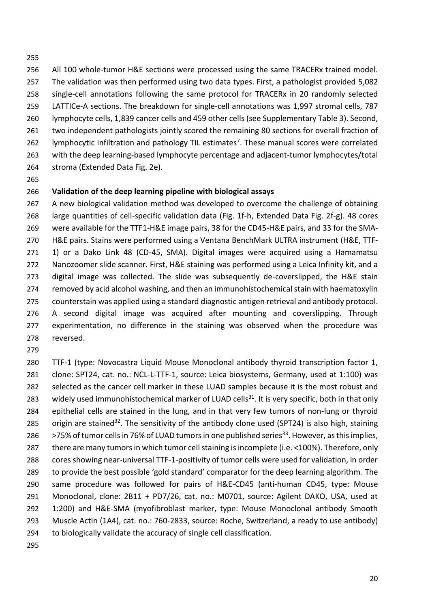- All 100 whole-tumor H&E sections were processed using the same TRACERx trained model. The validation was then performed using two data types. First, a pathologist provided 5,082 single-cell annotations following the same protocol for TRACERx in 20 randomly selected LATTICe-A sections. The breakdown for single-cell annotations was 1,997 stromal cells, 787 lymphocyte cells, 1,839 cancer cells and 459 other cells (see Supplementary Table 3). Second, two independent pathologists jointly scored the remaining 80 sections for overall fraction of 262 lymphocytic infiltration and pathology TIL estimates<sup>7</sup>. These manual scores were correlated with the deep learning-based lymphocyte percentage and adjacent-tumor lymphocytes/total stroma (Extended Data Fig. 2e).
- 

# **Validation of the deep learning pipeline with biological assays**

 A new biological validation method was developed to overcome the challenge of obtaining large quantities of cell-specific validation data (Fig. 1f-h, Extended Data Fig. 2f-g). 48 cores were available for the TTF1-H&E image pairs, 38 for the CD45-H&E pairs, and 33 for the SMA- H&E pairs. Stains were performed using a Ventana BenchMark ULTRA instrument (H&E, TTF- 1) or a Dako Link 48 (CD-45, SMA). Digital images were acquired using a Hamamatsu Nanozoomer slide scanner. First, H&E staining was performed using a Leica Infinity kit, and a digital image was collected. The slide was subsequently de-coverslipped, the H&E stain removed by acid alcohol washing, and then an immunohistochemical stain with haematoxylin counterstain was applied using a standard diagnostic antigen retrieval and antibody protocol. A second digital image was acquired after mounting and coverslipping. Through experimentation, no difference in the staining was observed when the procedure was reversed.

 TTF-1 (type: Novocastra Liquid Mouse Monoclonal antibody thyroid transcription factor 1, clone: SPT24, cat. no.: NCL-L-TTF-1, source: Leica biosystems, Germany, used at 1:100) was selected as the cancer cell marker in these LUAD samples because it is the most robust and 283 widely used immunohistochemical marker of LUAD cells<sup>31</sup>. It is very specific, both in that only epithelial cells are stained in the lung, and in that very few tumors of non-lung or thyroid 285 origin are stained<sup>32</sup>. The sensitivity of the antibody clone used (SPT24) is also high, staining  $\rightarrow$  75% of tumor cells in 76% of LUAD tumors in one published series<sup>33</sup>. However, as this implies, 287 there are many tumors in which tumor cell staining is incomplete (i.e. <100%). Therefore, only cores showing near-universal TTF-1-positivity of tumor cells were used for validation, in order to provide the best possible 'gold standard' comparator for the deep learning algorithm. The same procedure was followed for pairs of H&E-CD45 (anti-human CD45, type: Mouse Monoclonal, clone: 2B11 + PD7/26, cat. no.: M0701, source: Agilent DAKO, USA, used at 1:200) and H&E-SMA (myofibroblast marker, type: Mouse Monoclonal antibody Smooth Muscle Actin (1A4), cat. no.: 760-2833, source: Roche, Switzerland, a ready to use antibody) to biologically validate the accuracy of single cell classification.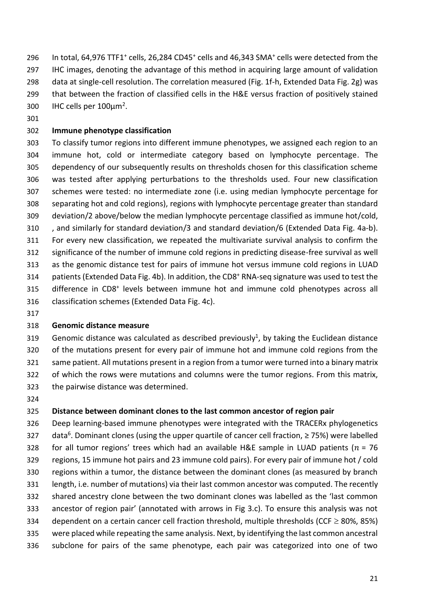- 296 In total, 64,976 TTF1<sup>+</sup> cells, 26,284 CD45<sup>+</sup> cells and 46,343 SMA<sup>+</sup> cells were detected from the IHC images, denoting the advantage of this method in acquiring large amount of validation data at single-cell resolution. The correlation measured (Fig. 1f-h, Extended Data Fig. 2g) was that between the fraction of classified cells in the H&E versus fraction of positively stained 300 IHC cells per  $100 \mu m^2$ .
- 

### **Immune phenotype classification**

 To classify tumor regions into different immune phenotypes, we assigned each region to an immune hot, cold or intermediate category based on lymphocyte percentage. The dependency of our subsequently results on thresholds chosen for this classification scheme was tested after applying perturbations to the thresholds used. Four new classification schemes were tested: no intermediate zone (i.e. using median lymphocyte percentage for separating hot and cold regions), regions with lymphocyte percentage greater than standard deviation/2 above/below the median lymphocyte percentage classified as immune hot/cold, , and similarly for standard deviation/3 and standard deviation/6 (Extended Data Fig. 4a-b). For every new classification, we repeated the multivariate survival analysis to confirm the significance of the number of immune cold regions in predicting disease-free survival as well as the genomic distance test for pairs of immune hot versus immune cold regions in LUAD 314 patients (Extended Data Fig. 4b). In addition, the CD8<sup>+</sup> RNA-seq signature was used to test the 315 difference in CD8<sup>+</sup> levels between immune hot and immune cold phenotypes across all classification schemes (Extended Data Fig. 4c).

#### **Genomic distance measure**

319 Genomic distance was calculated as described previously<sup>1</sup>, by taking the Euclidean distance of the mutations present for every pair of immune hot and immune cold regions from the same patient. All mutations present in a region from a tumor were turned into a binary matrix of which the rows were mutations and columns were the tumor regions. From this matrix, the pairwise distance was determined.

#### **Distance between dominant clones to the last common ancestor of region pair**

 Deep learning-based immune phenotypes were integrated with the TRACERx phylogenetics 327 data<sup>6</sup>. Dominant clones (using the upper quartile of cancer cell fraction, ≥ 75%) were labelled 328 for all tumor regions' trees which had an available H&E sample in LUAD patients ( $n = 76$ ) regions, 15 immune hot pairs and 23 immune cold pairs). For every pair of immune hot / cold regions within a tumor, the distance between the dominant clones (as measured by branch length, i.e. number of mutations) via their last common ancestor was computed. The recently shared ancestry clone between the two dominant clones was labelled as the 'last common ancestor of region pair' (annotated with arrows in Fig 3.c). To ensure this analysis was not 334 dependent on a certain cancer cell fraction threshold, multiple thresholds (CCF  $\geq$  80%, 85%) were placed while repeating the same analysis. Next, by identifying the last common ancestral subclone for pairs of the same phenotype, each pair was categorized into one of two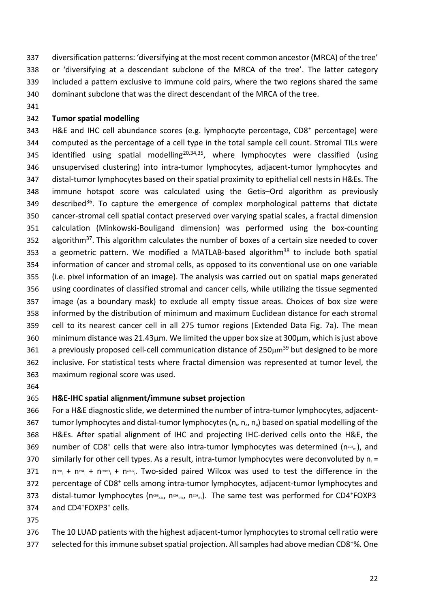- diversification patterns: 'diversifying at the most recent common ancestor (MRCA) of the tree' or 'diversifying at a descendant subclone of the MRCA of the tree'. The latter category included a pattern exclusive to immune cold pairs, where the two regions shared the same dominant subclone that was the direct descendant of the MRCA of the tree.
- 

### **Tumor spatial modelling**

 $H\&E$  and IHC cell abundance scores (e.g. lymphocyte percentage, CD8<sup>+</sup> percentage) were computed as the percentage of a cell type in the total sample cell count. Stromal TILs were 345 identified using spatial modelling<sup>20,34,35</sup>, where lymphocytes were classified (using unsupervised clustering) into intra-tumor lymphocytes, adjacent-tumor lymphocytes and distal-tumor lymphocytes based on their spatial proximity to epithelial cell nests in H&Es. The immune hotspot score was calculated using the Getis–Ord algorithm as previously 349 described<sup>36</sup>. To capture the emergence of complex morphological patterns that dictate cancer-stromal cell spatial contact preserved over varying spatial scales, a fractal dimension calculation (Minkowski-Bouligand dimension) was performed using the box-counting 352 algorithm<sup>37</sup>. This algorithm calculates the number of boxes of a certain size needed to cover 353 a geometric pattern. We modified a MATLAB-based algorithm<sup>38</sup> to include both spatial information of cancer and stromal cells, as opposed to its conventional use on one variable (i.e. pixel information of an image). The analysis was carried out on spatial maps generated using coordinates of classified stromal and cancer cells, while utilizing the tissue segmented image (as a boundary mask) to exclude all empty tissue areas. Choices of box size were informed by the distribution of minimum and maximum Euclidean distance for each stromal cell to its nearest cancer cell in all 275 tumor regions (Extended Data Fig. 7a). The mean minimum distance was 21.43µm. We limited the upper box size at 300µm, which is just above 361 a previously proposed cell-cell communication distance of  $250 \mu m^{39}$  but designed to be more inclusive. For statistical tests where fractal dimension was represented at tumor level, the maximum regional score was used.

### **H&E-IHC spatial alignment/immune subset projection**

 For a H&E diagnostic slide, we determined the number of intra-tumor lymphocytes, adjacent-367 tumor lymphocytes and distal-tumor lymphocytes ( $n_A$ ,  $n_A$ ,  $n_B$ ) based on spatial modelling of the H&Es. After spatial alignment of IHC and projecting IHC-derived cells onto the H&E, the 369 number of CD8<sup>+</sup> cells that were also intra-tumor lymphocytes was determined (n<sup>os<sub>m</sub>), and</sup> 370 similarly for other cell types. As a result, intra-tumor lymphocytes were deconvoluted by  $n_i =$  nos<sub>1</sub> + nos<sub>4</sub> + nFOXP3<sub>1</sub> + nother<sub>1</sub>. Two-sided paired Wilcox was used to test the difference in the 372 percentage of CD8<sup>+</sup> cells among intra-tumor lymphocytes, adjacent-tumor lymphocytes and 373 distal-tumor lymphocytes (nos<sub>ATL</sub>, nos<sub>DTL</sub>, nos<sub>m</sub>). The same test was performed for CD4+FOXP3 374 and CD4<sup>+</sup>FOXP3<sup>+</sup> cells.

 The 10 LUAD patients with the highest adjacent-tumor lymphocytes to stromal cell ratio were selected for this immune subset spatial projection. All samples had above median CD8+%. One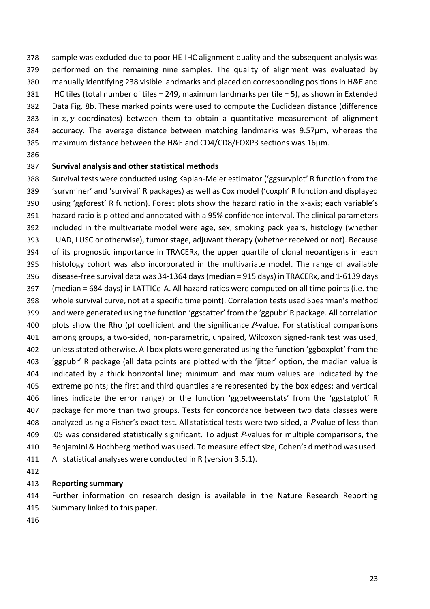- sample was excluded due to poor HE-IHC alignment quality and the subsequent analysis was performed on the remaining nine samples. The quality of alignment was evaluated by manually identifying 238 visible landmarks and placed on corresponding positions in H&E and IHC tiles (total number of tiles = 249, maximum landmarks per tile = 5), as shown in Extended Data Fig. 8b. These marked points were used to compute the Euclidean distance (difference 383 in  $x$ ,  $y$  coordinates) between them to obtain a quantitative measurement of alignment accuracy. The average distance between matching landmarks was 9.57µm, whereas the 385 maximum distance between the H&E and CD4/CD8/FOXP3 sections was 16µm.
- 

#### **Survival analysis and other statistical methods**

- Survival tests were conducted using Kaplan-Meier estimator ('ggsurvplot' R function from the 'survminer' and 'survival' R packages) as well as Cox model ('coxph' R function and displayed using 'ggforest' R function). Forest plots show the hazard ratio in the x-axis; each variable's hazard ratio is plotted and annotated with a 95% confidence interval. The clinical parameters included in the multivariate model were age, sex, smoking pack years, histology (whether LUAD, LUSC or otherwise), tumor stage, adjuvant therapy (whether received or not). Because of its prognostic importance in TRACERx, the upper quartile of clonal neoantigens in each histology cohort was also incorporated in the multivariate model. The range of available disease-free survival data was 34-1364 days (median = 915 days) in TRACERx, and 1-6139 days (median = 684 days) in LATTICe-A. All hazard ratios were computed on all time points (i.e. the whole survival curve, not at a specific time point). Correlation tests used Spearman's method and were generated using the function 'ggscatter' from the 'ggpubr' R package. All correlation 400 plots show the Rho ( $\rho$ ) coefficient and the significance P-value. For statistical comparisons among groups, a two-sided, non-parametric, unpaired, Wilcoxon signed-rank test was used, unless stated otherwise. All box plots were generated using the function 'ggboxplot' from the 'ggpubr' R package (all data points are plotted with the 'jitter' option, the median value is indicated by a thick horizontal line; minimum and maximum values are indicated by the extreme points; the first and third quantiles are represented by the box edges; and vertical lines indicate the error range) or the function 'ggbetweenstats' from the 'ggstatplot' R package for more than two groups. Tests for concordance between two data classes were 408 analyzed using a Fisher's exact test. All statistical tests were two-sided, a  $P$  value of less than 409 .05 was considered statistically significant. To adjust  $P$ -values for multiple comparisons, the Benjamini & Hochberg method was used. To measure effect size, Cohen's d method was used. All statistical analyses were conducted in R (version 3.5.1).
- 

#### **Reporting summary**

 Further information on research design is available in the Nature Research Reporting Summary linked to this paper.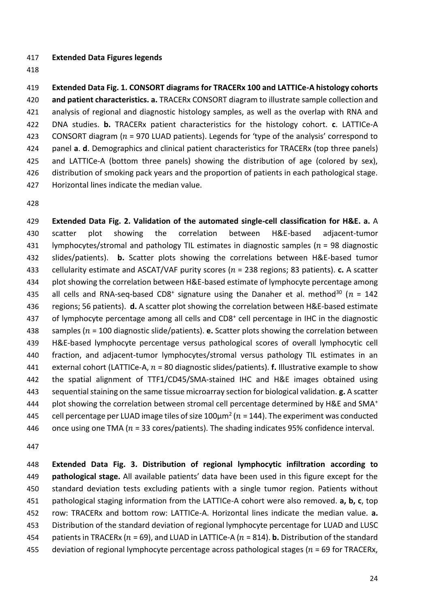- **Extended Data Figures legends**
- 

### **Extended Data Fig. 1. CONSORT diagrams for TRACERx 100 and LATTICe-A histology cohorts**

 **and patient characteristics. a.** TRACERx CONSORT diagram to illustrate sample collection and 421 analysis of regional and diagnostic histology samples, as well as the overlap with RNA and DNA studies. **b.** TRACERx patient characteristics for the histology cohort. **c**. LATTICe-A 423 CONSORT diagram ( $n = 970$  LUAD patients). Legends for 'type of the analysis' correspond to panel **a**. **d**. Demographics and clinical patient characteristics for TRACERx (top three panels) and LATTICe-A (bottom three panels) showing the distribution of age (colored by sex), distribution of smoking pack years and the proportion of patients in each pathological stage. Horizontal lines indicate the median value.

 **Extended Data Fig. 2. Validation of the automated single-cell classification for H&E. a.** A scatter plot showing the correlation between H&E-based adjacent-tumor 431 lymphocytes/stromal and pathology TIL estimates in diagnostic samples ( $n = 98$  diagnostic slides/patients). **b.** Scatter plots showing the correlations between H&E-based tumor 433 cellularity estimate and ASCAT/VAF purity scores ( $n = 238$  regions; 83 patients). **c.** A scatter 434 plot showing the correlation between H&E-based estimate of lymphocyte percentage among 435 all cells and RNA-seq-based CD8<sup>+</sup> signature using the Danaher et al. method<sup>30</sup> ( $n = 142$  regions; 56 patients). **d.** A scatter plot showing the correlation between H&E-based estimate 437 of lymphocyte percentage among all cells and CD8<sup>+</sup> cell percentage in IHC in the diagnostic 438 samples ( $n = 100$  diagnostic slide/patients). **e.** Scatter plots showing the correlation between H&E-based lymphocyte percentage versus pathological scores of overall lymphocytic cell fraction, and adjacent-tumor lymphocytes/stromal versus pathology TIL estimates in an 441 external cohort (LATTICe-A,  $n = 80$  diagnostic slides/patients). **f.** Illustrative example to show the spatial alignment of TTF1/CD45/SMA-stained IHC and H&E images obtained using sequential staining on the same tissue microarray section for biological validation. **g.** A scatter 444 plot showing the correlation between stromal cell percentage determined by H&E and SMA<sup>+</sup> 445 cell percentage per LUAD image tiles of size  $100 \mu m^2$  ( $n = 144$ ). The experiment was conducted 446 once using one TMA ( $n = 33$  cores/patients). The shading indicates 95% confidence interval.

 **Extended Data Fig. 3. Distribution of regional lymphocytic infiltration according to pathological stage.** All available patients' data have been used in this figure except for the standard deviation tests excluding patients with a single tumor region. Patients without pathological staging information from the LATTICe-A cohort were also removed. **a, b, c**, top row: TRACERx and bottom row: LATTICe-A. Horizontal lines indicate the median value. **a.**  Distribution of the standard deviation of regional lymphocyte percentage for LUAD and LUSC 454 patients in TRACERx ( $n = 69$ ), and LUAD in LATTICe-A ( $n = 814$ ). **b.** Distribution of the standard 455 deviation of regional lymphocyte percentage across pathological stages ( $n = 69$  for TRACERx,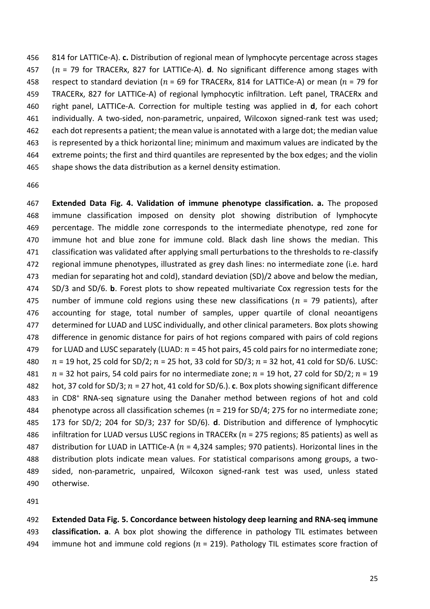814 for LATTICe-A). **c.** Distribution of regional mean of lymphocyte percentage across stages  $(n = 79$  for TRACERx, 827 for LATTICe-A). **d**. No significant difference among stages with 458 respect to standard deviation ( $n = 69$  for TRACERx, 814 for LATTICe-A) or mean ( $n = 79$  for TRACERx, 827 for LATTICe-A) of regional lymphocytic infiltration. Left panel, TRACERx and right panel, LATTICe-A. Correction for multiple testing was applied in **d**, for each cohort individually. A two-sided, non-parametric, unpaired, Wilcoxon signed-rank test was used; each dot represents a patient; the mean value is annotated with a large dot; the median value is represented by a thick horizontal line; minimum and maximum values are indicated by the extreme points; the first and third quantiles are represented by the box edges; and the violin shape shows the data distribution as a kernel density estimation.

 **Extended Data Fig. 4. Validation of immune phenotype classification. a.** The proposed immune classification imposed on density plot showing distribution of lymphocyte percentage. The middle zone corresponds to the intermediate phenotype, red zone for immune hot and blue zone for immune cold. Black dash line shows the median. This classification was validated after applying small perturbations to the thresholds to re-classify regional immune phenotypes, illustrated as grey dash lines: no intermediate zone (i.e. hard median for separating hot and cold), standard deviation (SD)/2 above and below the median, SD/3 and SD/6. **b**. Forest plots to show repeated multivariate Cox regression tests for the 475 number of immune cold regions using these new classifications ( $n = 79$  patients), after accounting for stage, total number of samples, upper quartile of clonal neoantigens determined for LUAD and LUSC individually, and other clinical parameters. Box plots showing difference in genomic distance for pairs of hot regions compared with pairs of cold regions 479 for LUAD and LUSC separately (LUAD:  $n = 45$  hot pairs, 45 cold pairs for no intermediate zone;  $n = 19$  hot, 25 cold for SD/2;  $n = 25$  hot, 33 cold for SD/3;  $n = 32$  hot, 41 cold for SD/6. LUSC:  $n = 32$  hot pairs, 54 cold pairs for no intermediate zone;  $n = 19$  hot, 27 cold for SD/2;  $n = 19$ 482 hot, 37 cold for SD/3;  $n = 27$  hot, 41 cold for SD/6.). **c**. Box plots showing significant difference 483 in CD8<sup>+</sup> RNA-seq signature using the Danaher method between regions of hot and cold 484 phenotype across all classification schemes ( $n = 219$  for SD/4; 275 for no intermediate zone; 173 for SD/2; 204 for SD/3; 237 for SD/6). **d**. Distribution and difference of lymphocytic 486 infiltration for LUAD versus LUSC regions in TRACERx ( $n = 275$  regions; 85 patients) as well as 487 distribution for LUAD in LATTICe-A ( $n = 4,324$  samples; 970 patients). Horizontal lines in the distribution plots indicate mean values. For statistical comparisons among groups, a two- sided, non-parametric, unpaired, Wilcoxon signed-rank test was used, unless stated otherwise.

 **Extended Data Fig. 5. Concordance between histology deep learning and RNA-seq immune classification. a**. A box plot showing the difference in pathology TIL estimates between

494 immune hot and immune cold regions  $(n = 219)$ . Pathology TIL estimates score fraction of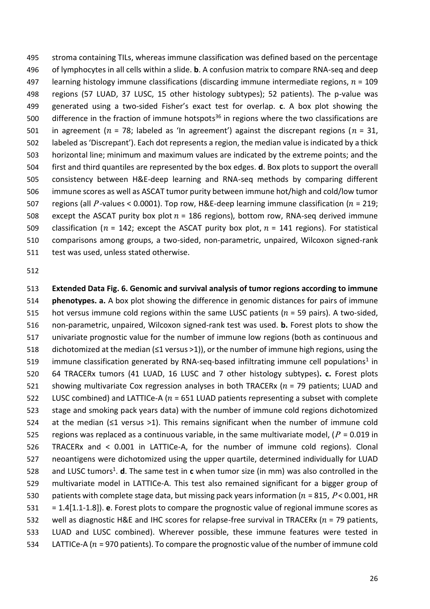stroma containing TILs, whereas immune classification was defined based on the percentage of lymphocytes in all cells within a slide. **b**. A confusion matrix to compare RNA-seq and deep 497 learning histology immune classifications (discarding immune intermediate regions,  $n = 109$  regions (57 LUAD, 37 LUSC, 15 other histology subtypes); 52 patients). The p-value was generated using a two-sided Fisher's exact test for overlap. **c**. A box plot showing the 500 difference in the fraction of immune hotspots<sup>36</sup> in regions where the two classifications are 501 in agreement ( $n = 78$ ; labeled as 'In agreement') against the discrepant regions ( $n = 31$ , labeled as 'Discrepant'). Each dot represents a region, the median value is indicated by a thick horizontal line; minimum and maximum values are indicated by the extreme points; and the first and third quantiles are represented by the box edges. **d**. Box plots to support the overall consistency between H&E-deep learning and RNA-seq methods by comparing different immune scores as well as ASCAT tumor purity between immune hot/high and cold/low tumor 507 regions (all P-values < 0.0001). Top row, H&E-deep learning immune classification ( $n = 219$ ; 508 except the ASCAT purity box plot  $n = 186$  regions), bottom row, RNA-seq derived immune 509 classification ( $n = 142$ ; except the ASCAT purity box plot,  $n = 141$  regions). For statistical comparisons among groups, a two-sided, non-parametric, unpaired, Wilcoxon signed-rank test was used, unless stated otherwise.

 **Extended Data Fig. 6. Genomic and survival analysis of tumor regions according to immune phenotypes. a.** A box plot showing the difference in genomic distances for pairs of immune 515 hot versus immune cold regions within the same LUSC patients ( $n = 59$  pairs). A two-sided, non-parametric, unpaired, Wilcoxon signed-rank test was used. **b.** Forest plots to show the univariate prognostic value for the number of immune low regions (both as continuous and dichotomized at the median (≤1 versus >1)), or the number of immune high regions, using the 519 immune classification generated by RNA-seq-based infiltrating immune cell populations<sup>1</sup> in 64 TRACERx tumors (41 LUAD, 16 LUSC and 7 other histology subtypes)**. c.** Forest plots 521 showing multivariate Cox regression analyses in both TRACERx ( $n = 79$  patients; LUAD and 522 LUSC combined) and LATTICe-A ( $n = 651$  LUAD patients representing a subset with complete stage and smoking pack years data) with the number of immune cold regions dichotomized at the median (≤1 versus >1). This remains significant when the number of immune cold 525 regions was replaced as a continuous variable, in the same multivariate model, ( $P = 0.019$  in TRACERx and < 0.001 in LATTICe-A, for the number of immune cold regions). Clonal neoantigens were dichotomized using the upper quartile, determined individually for LUAD 528 and LUSC tumors<sup>1</sup>. **d**. The same test in **c** when tumor size (in mm) was also controlled in the multivariate model in LATTICe-A. This test also remained significant for a bigger group of 530 patients with complete stage data, but missing pack years information ( $n = 815$ ,  $P < 0.001$ , HR = 1.4[1.1-1.8]). **e**. Forest plots to compare the prognostic value of regional immune scores as 532 well as diagnostic H&E and IHC scores for relapse-free survival in TRACERx ( $n = 79$  patients, LUAD and LUSC combined). Wherever possible, these immune features were tested in 534 LATTICe-A ( $n = 970$  patients). To compare the prognostic value of the number of immune cold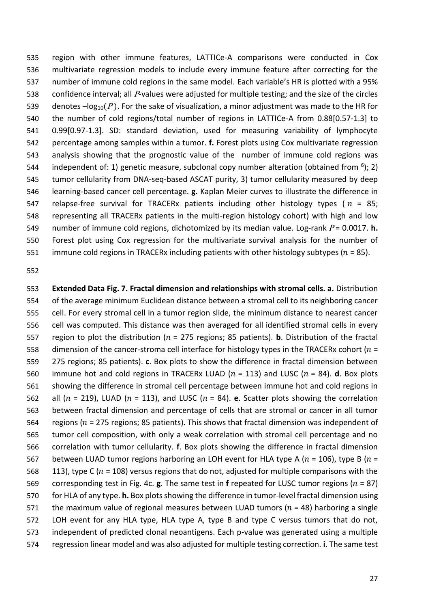region with other immune features, LATTICe-A comparisons were conducted in Cox multivariate regression models to include every immune feature after correcting for the number of immune cold regions in the same model. Each variable's HR is plotted with a 95% 538 confidence interval; all  $P$ -values were adjusted for multiple testing; and the size of the circles 539 denotes  $-\log_{10}(P)$ . For the sake of visualization, a minor adjustment was made to the HR for the number of cold regions/total number of regions in LATTICe-A from 0.88[0.57-1.3] to 0.99[0.97-1.3]. SD: standard deviation, used for measuring variability of lymphocyte percentage among samples within a tumor. **f.** Forest plots using Cox multivariate regression analysis showing that the prognostic value of the number of immune cold regions was 544 independent of: 1) genetic measure, subclonal copy number alteration (obtained from ); 2) tumor cellularity from DNA-seq-based ASCAT purity, 3) tumor cellularity measured by deep learning-based cancer cell percentage. **g.** Kaplan Meier curves to illustrate the difference in 547 relapse-free survival for TRACERx patients including other histology types ( $n = 85$ ; representing all TRACERx patients in the multi-region histology cohort) with high and low 549 number of immune cold regions, dichotomized by its median value. Log-rank  $P = 0.0017$ . **h.**  Forest plot using Cox regression for the multivariate survival analysis for the number of 551 immune cold regions in TRACERx including patients with other histology subtypes ( $n = 85$ ).

 **Extended Data Fig. 7. Fractal dimension and relationships with stromal cells. a.** Distribution of the average minimum Euclidean distance between a stromal cell to its neighboring cancer cell. For every stromal cell in a tumor region slide, the minimum distance to nearest cancer cell was computed. This distance was then averaged for all identified stromal cells in every 557 region to plot the distribution ( $n = 275$  regions; 85 patients). **b**. Distribution of the fractal 558 dimension of the cancer-stroma cell interface for histology types in the TRACERx cohort  $(n = 1)$  275 regions; 85 patients). **c**. Box plots to show the difference in fractal dimension between 560 immune hot and cold regions in TRACERx LUAD ( $n = 113$ ) and LUSC ( $n = 84$ ). **d**. Box plots showing the difference in stromal cell percentage between immune hot and cold regions in 562 all  $(n = 219)$ , LUAD  $(n = 113)$ , and LUSC  $(n = 84)$ . **e**. Scatter plots showing the correlation between fractal dimension and percentage of cells that are stromal or cancer in all tumor 564 regions ( $n = 275$  regions; 85 patients). This shows that fractal dimension was independent of tumor cell composition, with only a weak correlation with stromal cell percentage and no correlation with tumor cellularity. **f**. Box plots showing the difference in fractal dimension 567 between LUAD tumor regions harboring an LOH event for HLA type A ( $n = 106$ ), type B ( $n =$ 568 113), type C ( $n = 108$ ) versus regions that do not, adjusted for multiple comparisons with the 569 corresponding test in Fig. 4c.  $\bf{g}$ . The same test in **f** repeated for LUSC tumor regions ( $n = 87$ ) for HLA of any type. **h.** Box plots showing the difference in tumor-level fractal dimension using 571 the maximum value of regional measures between LUAD tumors ( $n = 48$ ) harboring a single LOH event for any HLA type, HLA type A, type B and type C versus tumors that do not, independent of predicted clonal neoantigens. Each p-value was generated using a multiple regression linear model and was also adjusted for multiple testing correction. **i**. The same test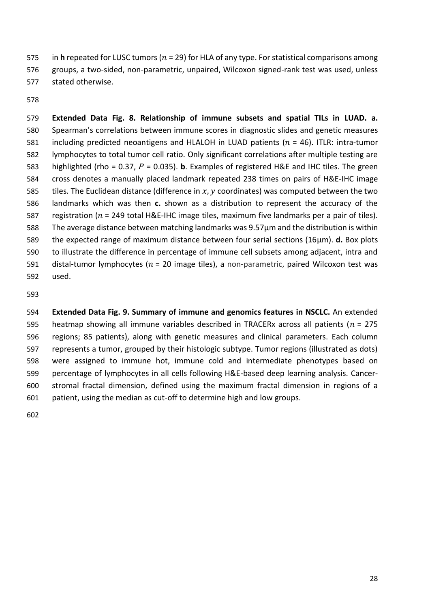575 in **h** repeated for LUSC tumors ( $n = 29$ ) for HLA of any type. For statistical comparisons among groups, a two-sided, non-parametric, unpaired, Wilcoxon signed-rank test was used, unless stated otherwise.

 **Extended Data Fig. 8. Relationship of immune subsets and spatial TILs in LUAD. a.**  Spearman's correlations between immune scores in diagnostic slides and genetic measures 581 including predicted neoantigens and HLALOH in LUAD patients ( $n = 46$ ). ITLR: intra-tumor lymphocytes to total tumor cell ratio. Only significant correlations after multiple testing are 583 highlighted (rho =  $0.37$ ,  $P = 0.035$ ). **b**. Examples of registered H&E and IHC tiles. The green cross denotes a manually placed landmark repeated 238 times on pairs of H&E-IHC image 585 tiles. The Euclidean distance (difference in  $x$ ,  $y$  coordinates) was computed between the two landmarks which was then **c.** shown as a distribution to represent the accuracy of the 587 registration ( $n = 249$  total H&E-IHC image tiles, maximum five landmarks per a pair of tiles). The average distance between matching landmarks was 9.57µm and the distribution is within the expected range of maximum distance between four serial sections (16µm). **d.** Box plots to illustrate the difference in percentage of immune cell subsets among adjacent, intra and 591 distal-tumor lymphocytes ( $n = 20$  image tiles), a non-parametric, paired Wilcoxon test was used.

 **Extended Data Fig. 9. Summary of immune and genomics features in NSCLC.** An extended 595 heatmap showing all immune variables described in TRACERx across all patients ( $n = 275$  regions; 85 patients), along with genetic measures and clinical parameters. Each column represents a tumor, grouped by their histologic subtype. Tumor regions (illustrated as dots) were assigned to immune hot, immune cold and intermediate phenotypes based on percentage of lymphocytes in all cells following H&E-based deep learning analysis. Cancer- stromal fractal dimension, defined using the maximum fractal dimension in regions of a patient, using the median as cut-off to determine high and low groups.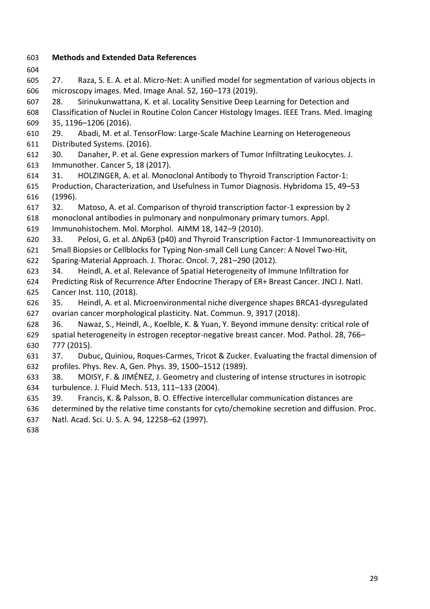### **Methods and Extended Data References**

 27. Raza, S. E. A. et al. Micro-Net: A unified model for segmentation of various objects in microscopy images. Med. Image Anal. 52, 160–173 (2019).

 28. Sirinukunwattana, K. et al. Locality Sensitive Deep Learning for Detection and Classification of Nuclei in Routine Colon Cancer Histology Images. IEEE Trans. Med. Imaging 35, 1196–1206 (2016).

 29. Abadi, M. et al. TensorFlow: Large-Scale Machine Learning on Heterogeneous Distributed Systems. (2016).

- 30. Danaher, P. et al. Gene expression markers of Tumor Infiltrating Leukocytes. J. Immunother. Cancer 5, 18 (2017).
- 31. HOLZINGER, A. et al. Monoclonal Antibody to Thyroid Transcription Factor-1:

 Production, Characterization, and Usefulness in Tumor Diagnosis. Hybridoma 15, 49–53 (1996).

- 32. Matoso, A. et al. Comparison of thyroid transcription factor-1 expression by 2
- monoclonal antibodies in pulmonary and nonpulmonary primary tumors. Appl.

Immunohistochem. Mol. Morphol. AIMM 18, 142–9 (2010).

33. Pelosi, G. et al. ΔNp63 (p40) and Thyroid Transcription Factor-1 Immunoreactivity on

Small Biopsies or Cellblocks for Typing Non-small Cell Lung Cancer: A Novel Two-Hit,

Sparing-Material Approach. J. Thorac. Oncol. 7, 281–290 (2012).

 34. Heindl, A. et al. Relevance of Spatial Heterogeneity of Immune Infiltration for Predicting Risk of Recurrence After Endocrine Therapy of ER+ Breast Cancer. JNCI J. Natl. Cancer Inst. 110, (2018).

 35. Heindl, A. et al. Microenvironmental niche divergence shapes BRCA1-dysregulated ovarian cancer morphological plasticity. Nat. Commun. 9, 3917 (2018).

 36. Nawaz, S., Heindl, A., Koelble, K. & Yuan, Y. Beyond immune density: critical role of spatial heterogeneity in estrogen receptor-negative breast cancer. Mod. Pathol. 28, 766– 777 (2015).

 37. Dubuc, Quiniou, Roques-Carmes, Tricot & Zucker. Evaluating the fractal dimension of profiles. Phys. Rev. A, Gen. Phys. 39, 1500–1512 (1989).

 38. MOISY, F. & JIMÉNEZ, J. Geometry and clustering of intense structures in isotropic turbulence. J. Fluid Mech. 513, 111–133 (2004).

- 39. Francis, K. & Palsson, B. O. Effective intercellular communication distances are
- determined by the relative time constants for cyto/chemokine secretion and diffusion. Proc.
- Natl. Acad. Sci. U. S. A. 94, 12258–62 (1997).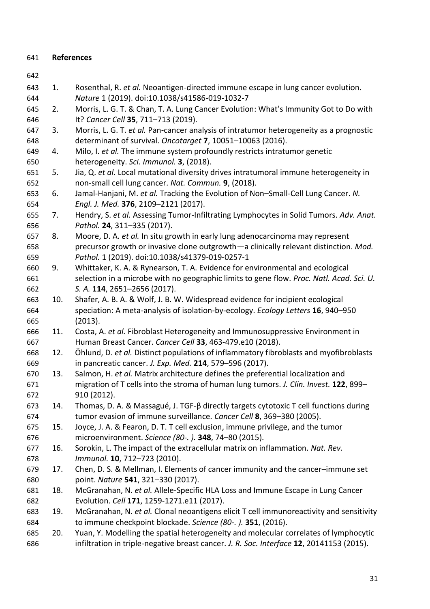### **References**

| I<br>۰,<br>w | v<br>e e |
|--------------|----------|
|              |          |

- 1. Rosenthal, R. *et al.* Neoantigen-directed immune escape in lung cancer evolution. *Nature* 1 (2019). doi:10.1038/s41586-019-1032-7 2. Morris, L. G. T. & Chan, T. A. Lung Cancer Evolution: What's Immunity Got to Do with
- It? *Cancer Cell* **35**, 711–713 (2019).
- 3. Morris, L. G. T. *et al.* Pan-cancer analysis of intratumor heterogeneity as a prognostic determinant of survival. *Oncotarget* **7**, 10051–10063 (2016).
- 4. Milo, I. *et al.* The immune system profoundly restricts intratumor genetic heterogeneity. *Sci. Immunol.* **3**, (2018).
- 5. Jia, Q. *et al.* Local mutational diversity drives intratumoral immune heterogeneity in non-small cell lung cancer. *Nat. Commun.* **9**, (2018).
- 6. Jamal-Hanjani, M. *et al.* Tracking the Evolution of Non–Small-Cell Lung Cancer. *N. Engl. J. Med.* **376**, 2109–2121 (2017).
- 7. Hendry, S. *et al.* Assessing Tumor-Infiltrating Lymphocytes in Solid Tumors. *Adv. Anat. Pathol.* **24**, 311–335 (2017).
- 8. Moore, D. A. *et al.* In situ growth in early lung adenocarcinoma may represent precursor growth or invasive clone outgrowth—a clinically relevant distinction. *Mod. Pathol.* 1 (2019). doi:10.1038/s41379-019-0257-1
- 9. Whittaker, K. A. & Rynearson, T. A. Evidence for environmental and ecological selection in a microbe with no geographic limits to gene flow. *Proc. Natl. Acad. Sci. U. S. A.* **114**, 2651–2656 (2017).
- 10. Shafer, A. B. A. & Wolf, J. B. W. Widespread evidence for incipient ecological speciation: A meta-analysis of isolation-by-ecology. *Ecology Letters* **16**, 940–950 (2013).
- 11. Costa, A. *et al.* Fibroblast Heterogeneity and Immunosuppressive Environment in Human Breast Cancer. *Cancer Cell* **33**, 463-479.e10 (2018).
- 12. Öhlund, D. *et al.* Distinct populations of inflammatory fibroblasts and myofibroblasts in pancreatic cancer. *J. Exp. Med.* **214**, 579–596 (2017).
- 13. Salmon, H. *et al.* Matrix architecture defines the preferential localization and migration of T cells into the stroma of human lung tumors. *J. Clin. Invest.* **122**, 899– 910 (2012).
- 14. Thomas, D. A. & Massagué, J. TGF-β directly targets cytotoxic T cell functions during tumor evasion of immune surveillance. *Cancer Cell* **8**, 369–380 (2005).
- 15. Joyce, J. A. & Fearon, D. T. T cell exclusion, immune privilege, and the tumor microenvironment. *Science (80-. ).* **348**, 74–80 (2015).
- 16. Sorokin, L. The impact of the extracellular matrix on inflammation. *Nat. Rev. Immunol.* **10**, 712–723 (2010).
- 17. Chen, D. S. & Mellman, I. Elements of cancer immunity and the cancer–immune set point. *Nature* **541**, 321–330 (2017).
- 18. McGranahan, N. *et al.* Allele-Specific HLA Loss and Immune Escape in Lung Cancer Evolution. *Cell* **171**, 1259-1271.e11 (2017).
- 19. McGranahan, N. *et al.* Clonal neoantigens elicit T cell immunoreactivity and sensitivity to immune checkpoint blockade. *Science (80-. ).* **351**, (2016).
- 20. Yuan, Y. Modelling the spatial heterogeneity and molecular correlates of lymphocytic infiltration in triple-negative breast cancer. *J. R. Soc. Interface* **12**, 20141153 (2015).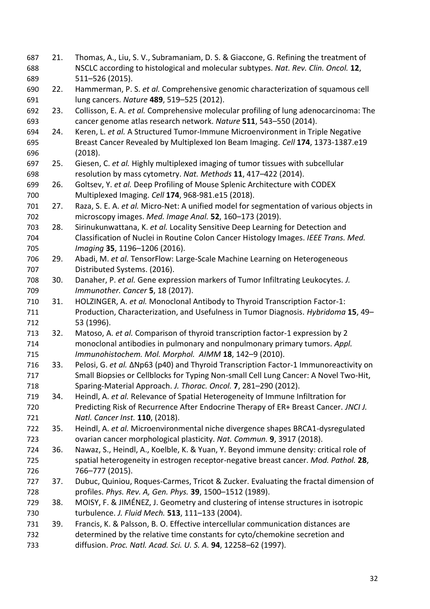21. Thomas, A., Liu, S. V., Subramaniam, D. S. & Giaccone, G. Refining the treatment of NSCLC according to histological and molecular subtypes. *Nat. Rev. Clin. Oncol.* **12**, 511–526 (2015). 22. Hammerman, P. S. *et al.* Comprehensive genomic characterization of squamous cell lung cancers. *Nature* **489**, 519–525 (2012). 23. Collisson, E. A. *et al.* Comprehensive molecular profiling of lung adenocarcinoma: The cancer genome atlas research network. *Nature* **511**, 543–550 (2014). 24. Keren, L. *et al.* A Structured Tumor-Immune Microenvironment in Triple Negative Breast Cancer Revealed by Multiplexed Ion Beam Imaging. *Cell* **174**, 1373-1387.e19 (2018). 25. Giesen, C. *et al.* Highly multiplexed imaging of tumor tissues with subcellular resolution by mass cytometry. *Nat. Methods* **11**, 417–422 (2014). 26. Goltsev, Y. *et al.* Deep Profiling of Mouse Splenic Architecture with CODEX Multiplexed Imaging. *Cell* **174**, 968-981.e15 (2018). 27. Raza, S. E. A. *et al.* Micro-Net: A unified model for segmentation of various objects in microscopy images. *Med. Image Anal.* **52**, 160–173 (2019). 28. Sirinukunwattana, K. *et al.* Locality Sensitive Deep Learning for Detection and Classification of Nuclei in Routine Colon Cancer Histology Images. *IEEE Trans. Med. Imaging* **35**, 1196–1206 (2016). 29. Abadi, M. *et al.* TensorFlow: Large-Scale Machine Learning on Heterogeneous Distributed Systems. (2016). 30. Danaher, P. *et al.* Gene expression markers of Tumor Infiltrating Leukocytes. *J. Immunother. Cancer* **5**, 18 (2017). 31. HOLZINGER, A. *et al.* Monoclonal Antibody to Thyroid Transcription Factor-1: Production, Characterization, and Usefulness in Tumor Diagnosis. *Hybridoma* **15**, 49– 53 (1996). 32. Matoso, A. *et al.* Comparison of thyroid transcription factor-1 expression by 2 monoclonal antibodies in pulmonary and nonpulmonary primary tumors. *Appl. Immunohistochem. Mol. Morphol. AIMM* **18**, 142–9 (2010). 33. Pelosi, G. *et al.* ΔNp63 (p40) and Thyroid Transcription Factor-1 Immunoreactivity on Small Biopsies or Cellblocks for Typing Non-small Cell Lung Cancer: A Novel Two-Hit, Sparing-Material Approach. *J. Thorac. Oncol.* **7**, 281–290 (2012). 34. Heindl, A. *et al.* Relevance of Spatial Heterogeneity of Immune Infiltration for Predicting Risk of Recurrence After Endocrine Therapy of ER+ Breast Cancer. *JNCI J. Natl. Cancer Inst.* **110**, (2018). 35. Heindl, A. *et al.* Microenvironmental niche divergence shapes BRCA1-dysregulated ovarian cancer morphological plasticity. *Nat. Commun.* **9**, 3917 (2018). 36. Nawaz, S., Heindl, A., Koelble, K. & Yuan, Y. Beyond immune density: critical role of spatial heterogeneity in estrogen receptor-negative breast cancer. *Mod. Pathol.* **28**, 766–777 (2015). 37. Dubuc, Quiniou, Roques-Carmes, Tricot & Zucker. Evaluating the fractal dimension of profiles. *Phys. Rev. A, Gen. Phys.* **39**, 1500–1512 (1989). 38. MOISY, F. & JIMÉNEZ, J. Geometry and clustering of intense structures in isotropic turbulence. *J. Fluid Mech.* **513**, 111–133 (2004). 39. Francis, K. & Palsson, B. O. Effective intercellular communication distances are determined by the relative time constants for cyto/chemokine secretion and diffusion. *Proc. Natl. Acad. Sci. U. S. A.* **94**, 12258–62 (1997).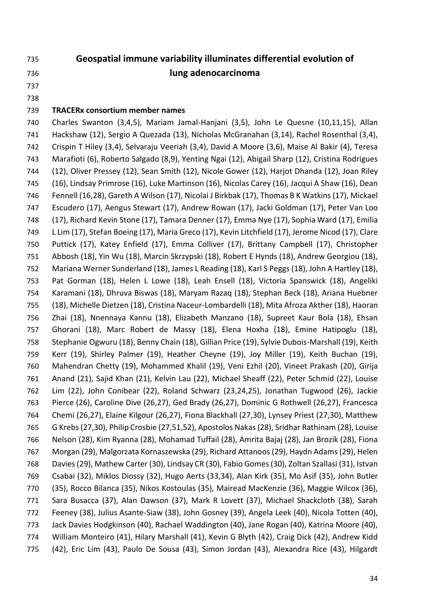# **Geospatial immune variability illuminates differential evolution of lung adenocarcinoma**

- 
- 

## **TRACERx consortium member names**

 Charles Swanton (3,4,5), Mariam Jamal-Hanjani (3,5), John Le Quesne (10,11,15), Allan Hackshaw (12), Sergio A Quezada (13), Nicholas McGranahan (3,14), Rachel Rosenthal (3,4), Crispin T Hiley (3,4), Selvaraju Veeriah (3,4), David A Moore (3,6), Maise Al Bakir (4), Teresa Marafioti (6), Roberto Salgado (8,9), Yenting Ngai (12), Abigail Sharp (12), Cristina Rodrigues (12), Oliver Pressey (12), Sean Smith (12), Nicole Gower (12), Harjot Dhanda (12), Joan Riley (16), Lindsay Primrose (16), Luke Martinson (16), Nicolas Carey (16), Jacqui A Shaw (16), Dean Fennell (16,28), Gareth A Wilson (17), Nicolai J Birkbak (17), Thomas B K Watkins (17), Mickael Escudero (17), Aengus Stewart (17), Andrew Rowan (17), Jacki Goldman (17), Peter Van Loo (17), Richard Kevin Stone (17), Tamara Denner (17), Emma Nye (17), Sophia Ward (17), Emilia L Lim (17), Stefan Boeing (17), Maria Greco (17), Kevin Litchfield (17), Jerome Nicod (17), Clare Puttick (17), Katey Enfield (17), Emma Colliver (17), Brittany Campbell (17), Christopher Abbosh (18), Yin Wu (18), Marcin Skrzypski (18), Robert E Hynds (18), Andrew Georgiou (18), Mariana Werner Sunderland (18), James L Reading (18), Karl S Peggs (18), John A Hartley (18), Pat Gorman (18), Helen L Lowe (18), Leah Ensell (18), Victoria Spanswick (18), Angeliki Karamani (18), Dhruva Biswas (18), Maryam Razaq (18), Stephan Beck (18), Ariana Huebner (18), Michelle Dietzen (18), Cristina Naceur-Lombardelli (18), Mita Afroza Akther (18), Haoran Zhai (18), Nnennaya Kannu (18), Elizabeth Manzano (18), Supreet Kaur Bola (18), Ehsan Ghorani (18), Marc Robert de Massy (18), Elena Hoxha (18), Emine Hatipoglu (18), Stephanie Ogwuru (18), Benny Chain (18), Gillian Price (19), Sylvie Dubois-Marshall (19), Keith Kerr (19), Shirley Palmer (19), Heather Cheyne (19), Joy Miller (19), Keith Buchan (19), Mahendran Chetty (19), Mohammed Khalil (19), Veni Ezhil (20), Vineet Prakash (20), Girija Anand (21), Sajid Khan (21), Kelvin Lau (22), Michael Sheaff (22), Peter Schmid (22), Louise Lim (22), John Conibear (22), Roland Schwarz (23,24,25), Jonathan Tugwood (26), Jackie Pierce (26), Caroline Dive (26,27), Ged Brady (26,27), Dominic G Rothwell (26,27), Francesca Chemi (26,27), Elaine Kilgour (26,27), Fiona Blackhall (27,30), Lynsey Priest (27,30), Matthew G Krebs (27,30), Philip Crosbie (27,51,52), Apostolos Nakas (28), Sridhar Rathinam (28), Louise Nelson (28), Kim Ryanna (28), Mohamad Tuffail (28), Amrita Bajaj (28), Jan Brozik (28), Fiona Morgan (29), Malgorzata Kornaszewska (29), Richard Attanoos (29), Haydn Adams (29), Helen Davies (29), Mathew Carter (30), Lindsay CR (30), Fabio Gomes (30), Zoltan Szallasi (31), Istvan Csabai (32), Miklos Diossy (32), Hugo Aerts (33,34), Alan Kirk (35), Mo Asif (35), John Butler (35), Rocco Bilanca (35), Nikos Kostoulas (35), Mairead MacKenzie (36), Maggie Wilcox (36), Sara Busacca (37), Alan Dawson (37), Mark R Lovett (37), Michael Shackcloth (38), Sarah Feeney (38), Julius Asante-Siaw (38), John Gosney (39), Angela Leek (40), Nicola Totten (40), Jack Davies Hodgkinson (40), Rachael Waddington (40), Jane Rogan (40), Katrina Moore (40), William Monteiro (41), Hilary Marshall (41), Kevin G Blyth (42), Craig Dick (42), Andrew Kidd (42), Eric Lim (43), Paulo De Sousa (43), Simon Jordan (43), Alexandra Rice (43), Hilgardt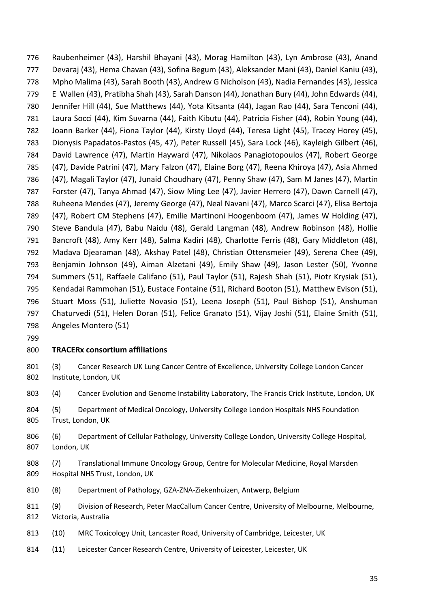Raubenheimer (43), Harshil Bhayani (43), Morag Hamilton (43), Lyn Ambrose (43), Anand Devaraj (43), Hema Chavan (43), Sofina Begum (43), Aleksander Mani (43), Daniel Kaniu (43), Mpho Malima (43), Sarah Booth (43), Andrew G Nicholson (43), Nadia Fernandes (43), Jessica E Wallen (43), Pratibha Shah (43), Sarah Danson (44), Jonathan Bury (44), John Edwards (44), Jennifer Hill (44), Sue Matthews (44), Yota Kitsanta (44), Jagan Rao (44), Sara Tenconi (44), Laura Socci (44), Kim Suvarna (44), Faith Kibutu (44), Patricia Fisher (44), Robin Young (44), Joann Barker (44), Fiona Taylor (44), Kirsty Lloyd (44), Teresa Light (45), Tracey Horey (45), Dionysis Papadatos-Pastos (45, 47), Peter Russell (45), Sara Lock (46), Kayleigh Gilbert (46), David Lawrence (47), Martin Hayward (47), Nikolaos Panagiotopoulos (47), Robert George (47), Davide Patrini (47), Mary Falzon (47), Elaine Borg (47), Reena Khiroya (47), Asia Ahmed (47), Magali Taylor (47), Junaid Choudhary (47), Penny Shaw (47), Sam M Janes (47), Martin Forster (47), Tanya Ahmad (47), Siow Ming Lee (47), Javier Herrero (47), Dawn Carnell (47), Ruheena Mendes (47), Jeremy George (47), Neal Navani (47), Marco Scarci (47), Elisa Bertoja (47), Robert CM Stephens (47), Emilie Martinoni Hoogenboom (47), James W Holding (47), Steve Bandula (47), Babu Naidu (48), Gerald Langman (48), Andrew Robinson (48), Hollie Bancroft (48), Amy Kerr (48), Salma Kadiri (48), Charlotte Ferris (48), Gary Middleton (48), Madava Djearaman (48), Akshay Patel (48), Christian Ottensmeier (49), Serena Chee (49), Benjamin Johnson (49), Aiman Alzetani (49), Emily Shaw (49), Jason Lester (50), Yvonne Summers (51), Raffaele Califano (51), Paul Taylor (51), Rajesh Shah (51), Piotr Krysiak (51), Kendadai Rammohan (51), Eustace Fontaine (51), Richard Booton (51), Matthew Evison (51), Stuart Moss (51), Juliette Novasio (51), Leena Joseph (51), Paul Bishop (51), Anshuman Chaturvedi (51), Helen Doran (51), Felice Granato (51), Vijay Joshi (51), Elaine Smith (51), Angeles Montero (51)

#### **TRACERx consortium affiliations**

 (3) Cancer Research UK Lung Cancer Centre of Excellence, University College London Cancer Institute, London, UK

803 (4) Cancer Evolution and Genome Instability Laboratory, The Francis Crick Institute, London, UK

 (5) Department of Medical Oncology, University College London Hospitals NHS Foundation Trust, London, UK

 (6) Department of Cellular Pathology, University College London, University College Hospital, London, UK

- (7) Translational Immune Oncology Group, Centre for Molecular Medicine, Royal Marsden Hospital NHS Trust, London, UK
- (8) Department of Pathology, GZA-ZNA-Ziekenhuizen, Antwerp, Belgium
- (9) Division of Research, Peter MacCallum Cancer Centre, University of Melbourne, Melbourne, Victoria, Australia
- (10) MRC Toxicology Unit, Lancaster Road, University of Cambridge, Leicester, UK
- (11) Leicester Cancer Research Centre, University of Leicester, Leicester, UK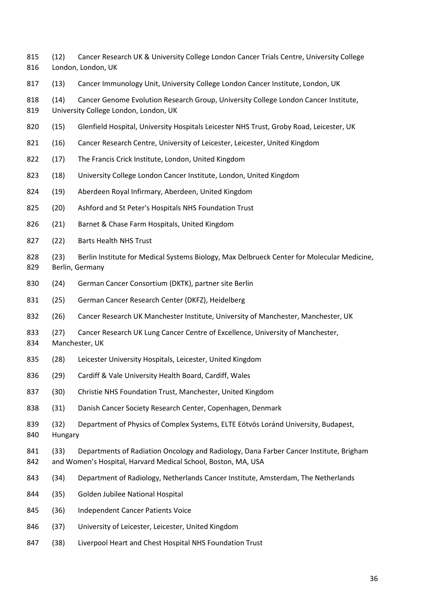- (12) Cancer Research UK & University College London Cancer Trials Centre, University College London, London, UK
- (13) Cancer Immunology Unit, University College London Cancer Institute, London, UK
- (14) Cancer Genome Evolution Research Group, University College London Cancer Institute, University College London, London, UK
- (15) Glenfield Hospital, University Hospitals Leicester NHS Trust, Groby Road, Leicester, UK
- (16) Cancer Research Centre, University of Leicester, Leicester, United Kingdom
- (17) The Francis Crick Institute, London, United Kingdom
- (18) University College London Cancer Institute, London, United Kingdom
- (19) Aberdeen Royal Infirmary, Aberdeen, United Kingdom
- (20) Ashford and St Peter's Hospitals NHS Foundation Trust
- (21) Barnet & Chase Farm Hospitals, United Kingdom
- (22) Barts Health NHS Trust
- (23) Berlin Institute for Medical Systems Biology, Max Delbrueck Center for Molecular Medicine, Berlin, Germany
- (24) German Cancer Consortium (DKTK), partner site Berlin
- (25) German Cancer Research Center (DKFZ), Heidelberg
- (26) Cancer Research UK Manchester Institute, University of Manchester, Manchester, UK
- (27) Cancer Research UK Lung Cancer Centre of Excellence, University of Manchester,
- Manchester, UK
- (28) Leicester University Hospitals, Leicester, United Kingdom
- (29) Cardiff & Vale University Health Board, Cardiff, Wales
- (30) Christie NHS Foundation Trust, Manchester, United Kingdom
- (31) Danish Cancer Society Research Center, Copenhagen, Denmark
- (32) Department of Physics of Complex Systems, ELTE Eötvös Loránd University, Budapest, Hungary
- (33) Departments of Radiation Oncology and Radiology, Dana Farber Cancer Institute, Brigham and Women's Hospital, Harvard Medical School, Boston, MA, USA
- (34) Department of Radiology, Netherlands Cancer Institute, Amsterdam, The Netherlands
- (35) Golden Jubilee National Hospital
- (36) Independent Cancer Patients Voice
- (37) University of Leicester, Leicester, United Kingdom
- (38) Liverpool Heart and Chest Hospital NHS Foundation Trust